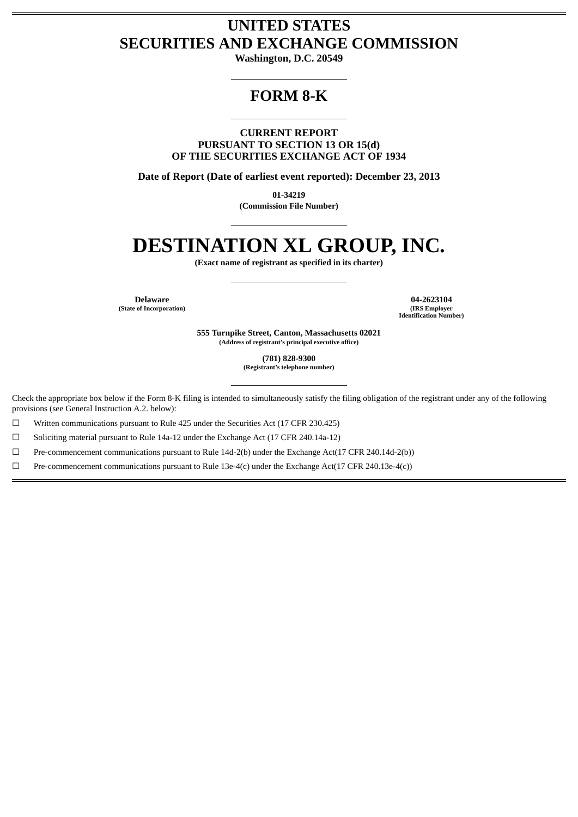# **UNITED STATES SECURITIES AND EXCHANGE COMMISSION**

**Washington, D.C. 20549**

# **FORM 8-K**

**CURRENT REPORT PURSUANT TO SECTION 13 OR 15(d) OF THE SECURITIES EXCHANGE ACT OF 1934**

**Date of Report (Date of earliest event reported): December 23, 2013**

**01-34219 (Commission File Number)**

# **DESTINATION XL GROUP, INC.**

**(Exact name of registrant as specified in its charter)**

**(State of Incorporation) (IRS Employer**

**Delaware 04-2623104 Identification Number)**

> **555 Turnpike Street, Canton, Massachusetts 02021 (Address of registrant's principal executive office)**

> > **(781) 828-9300 (Registrant's telephone number)**

Check the appropriate box below if the Form 8-K filing is intended to simultaneously satisfy the filing obligation of the registrant under any of the following provisions (see General Instruction A.2. below):

☐ Written communications pursuant to Rule 425 under the Securities Act (17 CFR 230.425)

☐ Soliciting material pursuant to Rule 14a-12 under the Exchange Act (17 CFR 240.14a-12)

☐ Pre-commencement communications pursuant to Rule 14d-2(b) under the Exchange Act(17 CFR 240.14d-2(b))

 $□$  Pre-commencement communications pursuant to Rule 13e-4(c) under the Exchange Act(17 CFR 240.13e-4(c))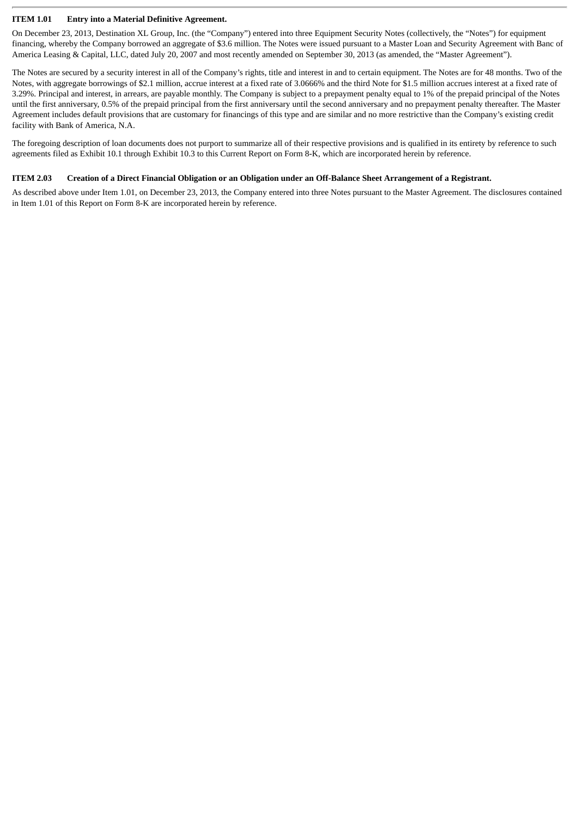### **ITEM 1.01 Entry into a Material Definitive Agreement.**

On December 23, 2013, Destination XL Group, Inc. (the "Company") entered into three Equipment Security Notes (collectively, the "Notes") for equipment financing, whereby the Company borrowed an aggregate of \$3.6 million. The Notes were issued pursuant to a Master Loan and Security Agreement with Banc of America Leasing & Capital, LLC, dated July 20, 2007 and most recently amended on September 30, 2013 (as amended, the "Master Agreement").

The Notes are secured by a security interest in all of the Company's rights, title and interest in and to certain equipment. The Notes are for 48 months. Two of the Notes, with aggregate borrowings of \$2.1 million, accrue interest at a fixed rate of 3.0666% and the third Note for \$1.5 million accrues interest at a fixed rate of 3.29%. Principal and interest, in arrears, are payable monthly. The Company is subject to a prepayment penalty equal to 1% of the prepaid principal of the Notes until the first anniversary, 0.5% of the prepaid principal from the first anniversary until the second anniversary and no prepayment penalty thereafter. The Master Agreement includes default provisions that are customary for financings of this type and are similar and no more restrictive than the Company's existing credit facility with Bank of America, N.A.

The foregoing description of loan documents does not purport to summarize all of their respective provisions and is qualified in its entirety by reference to such agreements filed as Exhibit 10.1 through Exhibit 10.3 to this Current Report on Form 8-K, which are incorporated herein by reference.

### **ITEM 2.03 Creation of a Direct Financial Obligation or an Obligation under an Off-Balance Sheet Arrangement of a Registrant.**

As described above under Item 1.01, on December 23, 2013, the Company entered into three Notes pursuant to the Master Agreement. The disclosures contained in Item 1.01 of this Report on Form 8-K are incorporated herein by reference.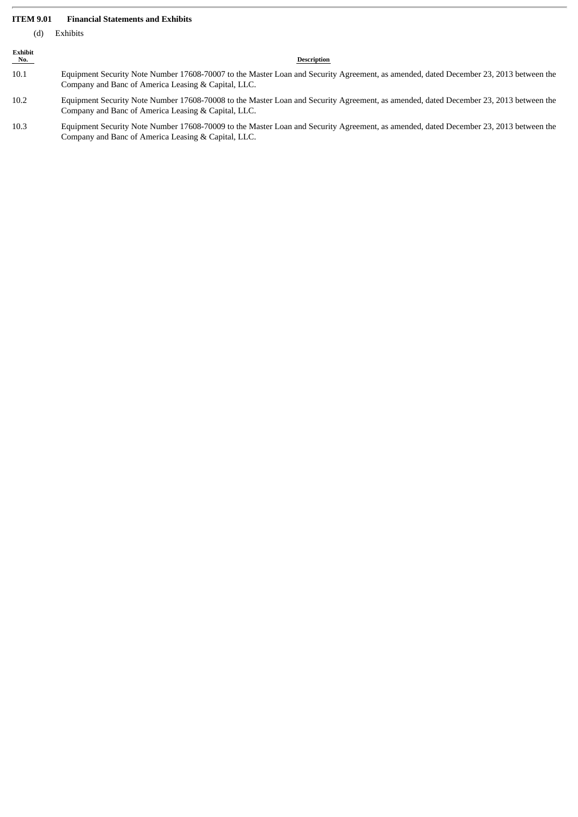### **ITEM 9.01 Financial Statements and Exhibits**

(d) Exhibits

| Exhibit<br>$N_0$ . | Description                                                                                                                                                                                  |
|--------------------|----------------------------------------------------------------------------------------------------------------------------------------------------------------------------------------------|
| 10.1               | Equipment Security Note Number 17608-70007 to the Master Loan and Security Agreement, as amended, dated December 23, 2013 between the<br>Company and Banc of America Leasing & Capital, LLC. |
| 10.2               | Equipment Security Note Number 17608-70008 to the Master Loan and Security Agreement, as amended, dated December 23, 2013 between the<br>Company and Banc of America Leasing & Capital, LLC. |
| 10.3               | Equipment Security Note Number 17608-70009 to the Master Loan and Security Agreement, as amended, dated December 23, 2013 between the<br>Company and Banc of America Leasing & Capital, LLC. |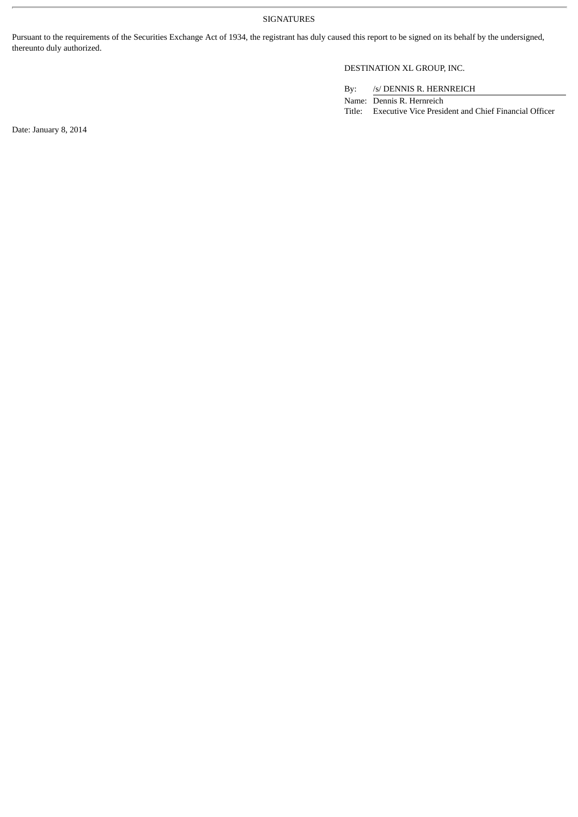### SIGNATURES

Pursuant to the requirements of the Securities Exchange Act of 1934, the registrant has duly caused this report to be signed on its behalf by the undersigned, thereunto duly authorized.

### DESTINATION XL GROUP, INC.

By: /s/ DENNIS R. HERNREICH

Name: Dennis R. Hernreich Title: Executive Vice President and Chief Financial Officer

Date: January 8, 2014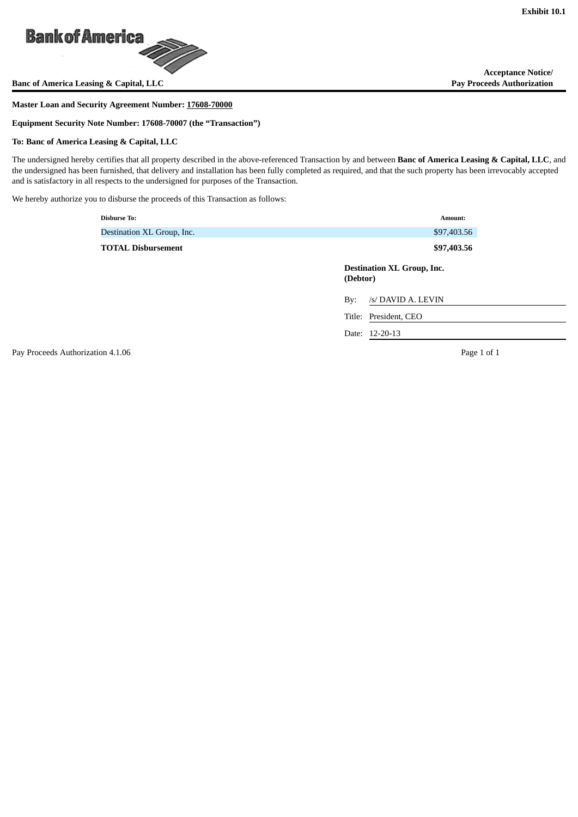

**Banc of America Leasing & Capital, LLC** 

### **Master Loan and Security Agreement Number: 17608-70000**

**Equipment Security Note Number: 17608-70007 (the "Transaction")**

### **To: Banc of America Leasing & Capital, LLC**

The undersigned hereby certifies that all property described in the above-referenced Transaction by and between **Banc of America Leasing & Capital, LLC**, and the undersigned has been furnished, that delivery and installation has been fully completed as required, and that the such property has been irrevocably accepted and is satisfactory in all respects to the undersigned for purposes of the Transaction.

We hereby authorize you to disburse the proceeds of this Transaction as follows:

| <b>Disburse To:</b>        | Amount:                                       |
|----------------------------|-----------------------------------------------|
| Destination XL Group, Inc. | \$97,403.56                                   |
| <b>TOTAL Disbursement</b>  | \$97,403.56                                   |
|                            | <b>Destination XL Group, Inc.</b><br>(Debtor) |
|                            | /s/ DAVID A. LEVIN<br>By:                     |
|                            | Title: President, CEO                         |
|                            | Date: 12-20-13                                |

Pay Proceeds Authorization 4.1.06 **Page 1 of 1** Page 1 of 1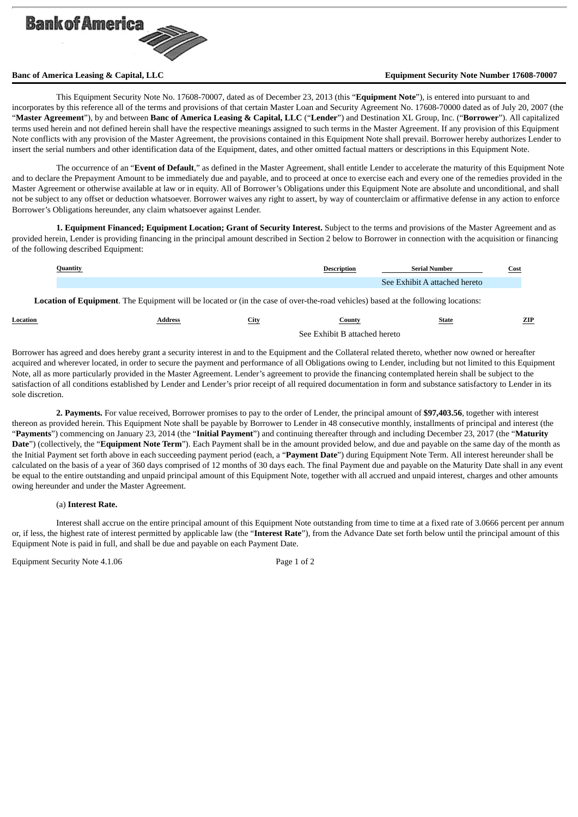

### **Banc of America Leasing & Capital, LLC Equipment Security Note Number 17608-70007**

This Equipment Security Note No. 17608-70007, dated as of December 23, 2013 (this "**Equipment Note**"), is entered into pursuant to and incorporates by this reference all of the terms and provisions of that certain Master Loan and Security Agreement No. 17608-70000 dated as of July 20, 2007 (the "**Master Agreement**"), by and between **Banc of America Leasing & Capital, LLC** ("**Lender**") and Destination XL Group, Inc. ("**Borrower**"). All capitalized terms used herein and not defined herein shall have the respective meanings assigned to such terms in the Master Agreement. If any provision of this Equipment Note conflicts with any provision of the Master Agreement, the provisions contained in this Equipment Note shall prevail. Borrower hereby authorizes Lender to insert the serial numbers and other identification data of the Equipment, dates, and other omitted factual matters or descriptions in this Equipment Note.

The occurrence of an "**Event of Default**," as defined in the Master Agreement, shall entitle Lender to accelerate the maturity of this Equipment Note and to declare the Prepayment Amount to be immediately due and payable, and to proceed at once to exercise each and every one of the remedies provided in the Master Agreement or otherwise available at law or in equity. All of Borrower's Obligations under this Equipment Note are absolute and unconditional, and shall not be subject to any offset or deduction whatsoever. Borrower waives any right to assert, by way of counterclaim or affirmative defense in any action to enforce Borrower's Obligations hereunder, any claim whatsoever against Lender.

**1. Equipment Financed; Equipment Location; Grant of Security Interest.** Subject to the terms and provisions of the Master Agreement and as provided herein, Lender is providing financing in the principal amount described in Section 2 below to Borrower in connection with the acquisition or financing of the following described Equipment:

| Quantity | <b>Description</b> | - Serial Number               | <b>Cost</b> |
|----------|--------------------|-------------------------------|-------------|
|          |                    | See Exhibit A attached hereto |             |

**Location of Equipment**. The Equipment will be located or (in the case of over-the-road vehicles) based at the following locations:

| Location | Address | City | ountyات                       | State | ZIP |
|----------|---------|------|-------------------------------|-------|-----|
|          |         |      | See Exhibit B attached hereto |       |     |

Borrower has agreed and does hereby grant a security interest in and to the Equipment and the Collateral related thereto, whether now owned or hereafter acquired and wherever located, in order to secure the payment and performance of all Obligations owing to Lender, including but not limited to this Equipment Note, all as more particularly provided in the Master Agreement. Lender's agreement to provide the financing contemplated herein shall be subject to the satisfaction of all conditions established by Lender and Lender's prior receipt of all required documentation in form and substance satisfactory to Lender in its sole discretion.

**2. Payments.** For value received, Borrower promises to pay to the order of Lender, the principal amount of **\$97,403.56**, together with interest thereon as provided herein. This Equipment Note shall be payable by Borrower to Lender in 48 consecutive monthly, installments of principal and interest (the "**Payments**") commencing on January 23, 2014 (the "**Initial Payment**") and continuing thereafter through and including December 23, 2017 (the "**Maturity Date**") (collectively, the "**Equipment Note Term**"). Each Payment shall be in the amount provided below, and due and payable on the same day of the month as the Initial Payment set forth above in each succeeding payment period (each, a "**Payment Date**") during Equipment Note Term. All interest hereunder shall be calculated on the basis of a year of 360 days comprised of 12 months of 30 days each. The final Payment due and payable on the Maturity Date shall in any event be equal to the entire outstanding and unpaid principal amount of this Equipment Note, together with all accrued and unpaid interest, charges and other amounts owing hereunder and under the Master Agreement.

### (a) **Interest Rate.**

Interest shall accrue on the entire principal amount of this Equipment Note outstanding from time to time at a fixed rate of 3.0666 percent per annum or, if less, the highest rate of interest permitted by applicable law (the "**Interest Rate**"), from the Advance Date set forth below until the principal amount of this Equipment Note is paid in full, and shall be due and payable on each Payment Date.

Equipment Security Note 4.1.06 Page 1 of 2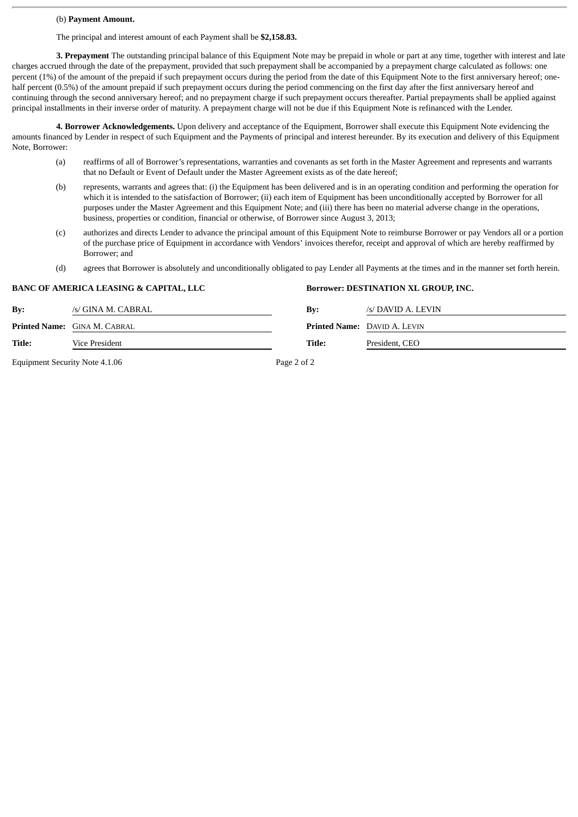### (b) **Payment Amount.**

The principal and interest amount of each Payment shall be **\$2,158.83.**

**3. Prepayment** The outstanding principal balance of this Equipment Note may be prepaid in whole or part at any time, together with interest and late charges accrued through the date of the prepayment, provided that such prepayment shall be accompanied by a prepayment charge calculated as follows: one percent (1%) of the amount of the prepaid if such prepayment occurs during the period from the date of this Equipment Note to the first anniversary hereof; onehalf percent (0.5%) of the amount prepaid if such prepayment occurs during the period commencing on the first day after the first anniversary hereof and continuing through the second anniversary hereof; and no prepayment charge if such prepayment occurs thereafter. Partial prepayments shall be applied against principal installments in their inverse order of maturity. A prepayment charge will not be due if this Equipment Note is refinanced with the Lender.

**4. Borrower Acknowledgements.** Upon delivery and acceptance of the Equipment, Borrower shall execute this Equipment Note evidencing the amounts financed by Lender in respect of such Equipment and the Payments of principal and interest hereunder. By its execution and delivery of this Equipment Note, Borrower:

- (a) reaffirms of all of Borrower's representations, warranties and covenants as set forth in the Master Agreement and represents and warrants that no Default or Event of Default under the Master Agreement exists as of the date hereof;
- (b) represents, warrants and agrees that: (i) the Equipment has been delivered and is in an operating condition and performing the operation for which it is intended to the satisfaction of Borrower; (ii) each item of Equipment has been unconditionally accepted by Borrower for all purposes under the Master Agreement and this Equipment Note; and (iii) there has been no material adverse change in the operations, business, properties or condition, financial or otherwise, of Borrower since August 3, 2013;
- (c) authorizes and directs Lender to advance the principal amount of this Equipment Note to reimburse Borrower or pay Vendors all or a portion of the purchase price of Equipment in accordance with Vendors' invoices therefor, receipt and approval of which are hereby reaffirmed by Borrower; and
- (d) agrees that Borrower is absolutely and unconditionally obligated to pay Lender all Payments at the times and in the manner set forth herein.

|                | <b>BANC OF AMERICA LEASING &amp; CAPITAL, LLC</b> | <b>Borrower: DESTINATION XL GROUP, INC.</b> |                                     |  |
|----------------|---------------------------------------------------|---------------------------------------------|-------------------------------------|--|
| $\mathbf{By:}$ | /s/ GINA M. CABRAL                                | By:                                         | /s/ DAVID A. LEVIN                  |  |
|                | Printed Name: GINA M. CABRAL                      |                                             | <b>Printed Name: DAVID A. LEVIN</b> |  |
| Title:         | Vice President                                    | Title:                                      | President, CEO                      |  |
|                |                                                   |                                             |                                     |  |

Equipment Security Note 4.1.06 Page 2 of 2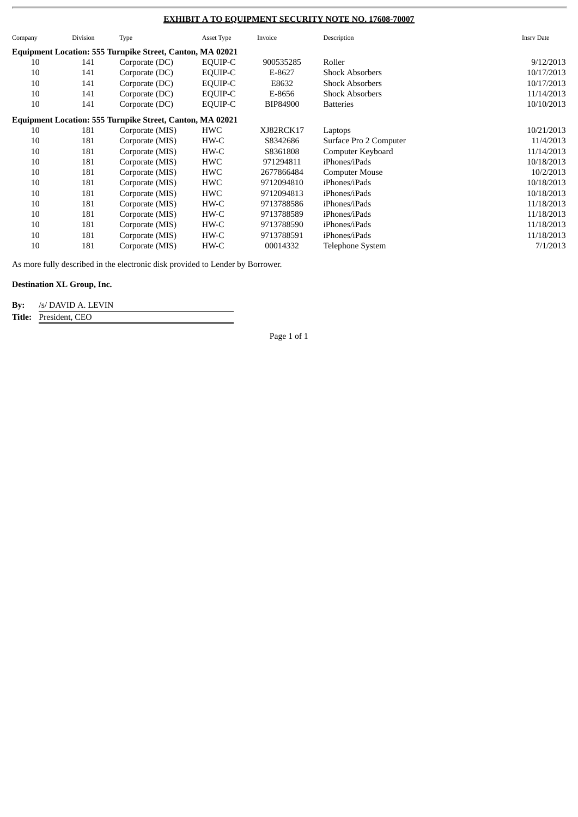### **EXHIBIT A TO EQUIPMENT SECURITY NOTE NO. 17608-70007**

| Company | Division | Type                                                             | Asset Type | Invoice    | Description             | <b>Insrv Date</b> |
|---------|----------|------------------------------------------------------------------|------------|------------|-------------------------|-------------------|
|         |          | <b>Equipment Location: 555 Turnpike Street, Canton, MA 02021</b> |            |            |                         |                   |
| 10      | 141      | Corporate (DC)                                                   | EQUIP-C    | 900535285  | Roller                  | 9/12/2013         |
| 10      | 141      | Corporate (DC)                                                   | EQUIP-C    | E-8627     | <b>Shock Absorbers</b>  | 10/17/2013        |
| 10      | 141      | Corporate (DC)                                                   | EQUIP-C    | E8632      | <b>Shock Absorbers</b>  | 10/17/2013        |
| 10      | 141      | Corporate (DC)                                                   | EQUIP-C    | E-8656     | <b>Shock Absorbers</b>  | 11/14/2013        |
| 10      | 141      | Corporate (DC)                                                   | EQUIP-C    | BIP84900   | <b>Batteries</b>        | 10/10/2013        |
|         |          | <b>Equipment Location: 555 Turnpike Street, Canton, MA 02021</b> |            |            |                         |                   |
| 10      | 181      | Corporate (MIS)                                                  | HWC        | XJ82RCK17  | Laptops                 | 10/21/2013        |
| 10      | 181      | Corporate (MIS)                                                  | HW-C       | S8342686   | Surface Pro 2 Computer  | 11/4/2013         |
| 10      | 181      | Corporate (MIS)                                                  | HW-C       | S8361808   | Computer Keyboard       | 11/14/2013        |
| 10      | 181      | Corporate (MIS)                                                  | HWC        | 971294811  | iPhones/iPads           | 10/18/2013        |
| 10      | 181      | Corporate (MIS)                                                  | HWC        | 2677866484 | <b>Computer Mouse</b>   | 10/2/2013         |
| 10      | 181      | Corporate (MIS)                                                  | HWC        | 9712094810 | iPhones/iPads           | 10/18/2013        |
| 10      | 181      | Corporate (MIS)                                                  | HWC        | 9712094813 | iPhones/iPads           | 10/18/2013        |
| 10      | 181      | Corporate (MIS)                                                  | HW-C       | 9713788586 | iPhones/iPads           | 11/18/2013        |
| 10      | 181      | Corporate (MIS)                                                  | HW-C       | 9713788589 | iPhones/iPads           | 11/18/2013        |
| 10      | 181      | Corporate (MIS)                                                  | HW-C       | 9713788590 | iPhones/iPads           | 11/18/2013        |
| 10      | 181      | Corporate (MIS)                                                  | HW-C       | 9713788591 | iPhones/iPads           | 11/18/2013        |
| 10      | 181      | Corporate (MIS)                                                  | HW-C       | 00014332   | <b>Telephone System</b> | 7/1/2013          |

As more fully described in the electronic disk provided to Lender by Borrower.

### **Destination XL Group, Inc.**

**By:** /s/ DAVID A. LEVIN

**Title:** President, CEO

Page 1 of 1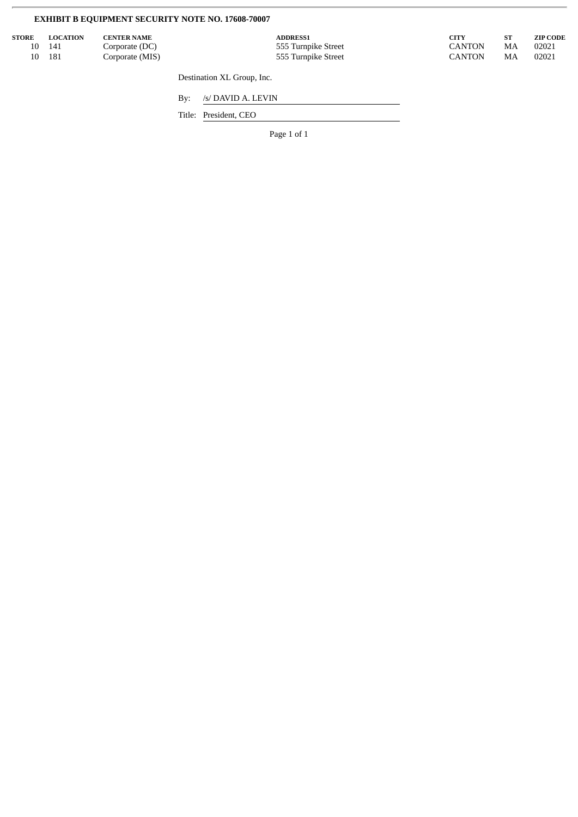# **EXHIBIT B EQUIPMENT SECURITY NOTE NO. 17608-70007**

| <b>STORE</b> | <b>LOCATION</b> | <b>CENTER NAME</b> | <b>ADDRESS1</b>     | CITY          |    | <b>ZIP CODE</b> |
|--------------|-----------------|--------------------|---------------------|---------------|----|-----------------|
| 10           | 141             | Corporate (DC)     | 555 Turnpike Street | <b>CANTON</b> | MA | 02021           |
| 10           | 181             | Corporate (MIS)    | 555 Turnpike Street | <b>CANTON</b> | MA | 02021           |
|              |                 |                    |                     |               |    |                 |

Destination XL Group, Inc.

By: /s/ DAVID A. LEVIN

Title: President, CEO

Page 1 of 1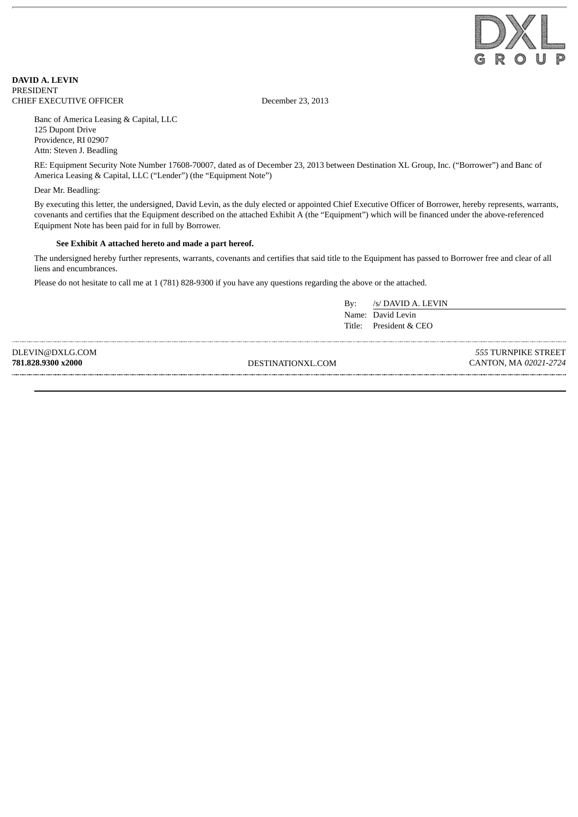

**DAVID A. LEVIN** PRESIDENT CHIEF EXECUTIVE OFFICER December 23, 2013

Banc of America Leasing & Capital, LLC 125 Dupont Drive Providence, RI 02907 Attn: Steven J. Beadling

RE: Equipment Security Note Number 17608-70007, dated as of December 23, 2013 between Destination XL Group, Inc. ("Borrower") and Banc of America Leasing & Capital, LLC ("Lender") (the "Equipment Note")

Dear Mr. Beadling:

By executing this letter, the undersigned, David Levin, as the duly elected or appointed Chief Executive Officer of Borrower, hereby represents, warrants, covenants and certifies that the Equipment described on the attached Exhibit A (the "Equipment") which will be financed under the above-referenced Equipment Note has been paid for in full by Borrower.

### **See Exhibit A attached hereto and made a part hereof.**

The undersigned hereby further represents, warrants, covenants and certifies that said title to the Equipment has passed to Borrower free and clear of all liens and encumbrances.

Please do not hesitate to call me at 1 (781) 828-9300 if you have any questions regarding the above or the attached.

By: /s/ DAVID A. LEVIN Name: David Levin Title: President & CEO

DLEVIN@DXLG.COM

**781.828.9300 x2000** DESTINATIONXL.COM

*555* TURNPIKE STREET CANTON, MA *02021-2724*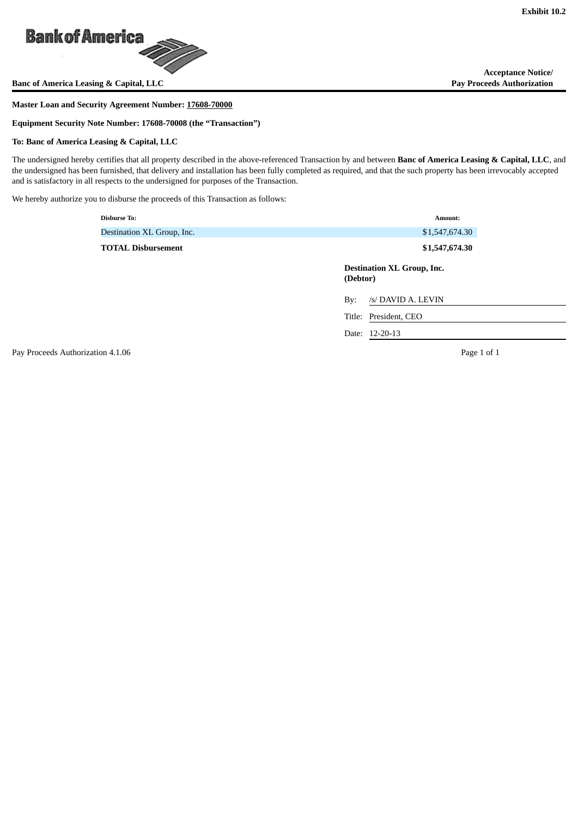

**Banc of America Leasing & Capital, LLC** 

### **Master Loan and Security Agreement Number: 17608-70000**

**Equipment Security Note Number: 17608-70008 (the "Transaction")**

### **To: Banc of America Leasing & Capital, LLC**

The undersigned hereby certifies that all property described in the above-referenced Transaction by and between **Banc of America Leasing & Capital, LLC**, and the undersigned has been furnished, that delivery and installation has been fully completed as required, and that the such property has been irrevocably accepted and is satisfactory in all respects to the undersigned for purposes of the Transaction.

We hereby authorize you to disburse the proceeds of this Transaction as follows:

| <b>Disburse To:</b>        | Amount:                                       |
|----------------------------|-----------------------------------------------|
| Destination XL Group, Inc. | \$1,547,674.30                                |
| <b>TOTAL Disbursement</b>  | \$1,547,674.30                                |
|                            | <b>Destination XL Group, Inc.</b><br>(Debtor) |
|                            | /s/ DAVID A. LEVIN<br>By:                     |
|                            | Title: President, CEO                         |
|                            | Date: 12-20-13                                |

Pay Proceeds Authorization 4.1.06 **Page 1 of 1** Page 1 of 1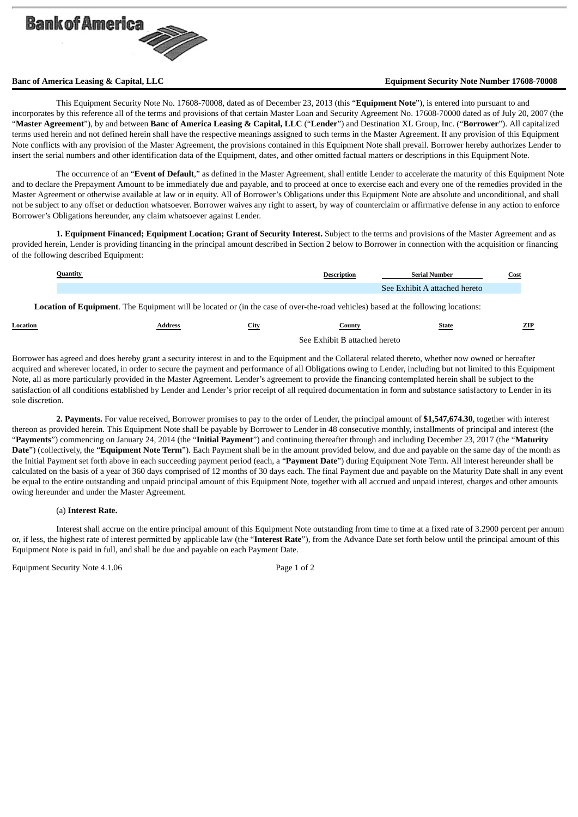

### **Banc of America Leasing & Capital, LLC Equipment Security Note Number 17608-70008**

This Equipment Security Note No. 17608-70008, dated as of December 23, 2013 (this "**Equipment Note**"), is entered into pursuant to and incorporates by this reference all of the terms and provisions of that certain Master Loan and Security Agreement No. 17608-70000 dated as of July 20, 2007 (the "**Master Agreement**"), by and between **Banc of America Leasing & Capital, LLC** ("**Lender**") and Destination XL Group, Inc. ("**Borrower**"). All capitalized terms used herein and not defined herein shall have the respective meanings assigned to such terms in the Master Agreement. If any provision of this Equipment Note conflicts with any provision of the Master Agreement, the provisions contained in this Equipment Note shall prevail. Borrower hereby authorizes Lender to insert the serial numbers and other identification data of the Equipment, dates, and other omitted factual matters or descriptions in this Equipment Note.

The occurrence of an "**Event of Default**," as defined in the Master Agreement, shall entitle Lender to accelerate the maturity of this Equipment Note and to declare the Prepayment Amount to be immediately due and payable, and to proceed at once to exercise each and every one of the remedies provided in the Master Agreement or otherwise available at law or in equity. All of Borrower's Obligations under this Equipment Note are absolute and unconditional, and shall not be subject to any offset or deduction whatsoever. Borrower waives any right to assert, by way of counterclaim or affirmative defense in any action to enforce Borrower's Obligations hereunder, any claim whatsoever against Lender.

**1. Equipment Financed; Equipment Location; Grant of Security Interest.** Subject to the terms and provisions of the Master Agreement and as provided herein, Lender is providing financing in the principal amount described in Section 2 below to Borrower in connection with the acquisition or financing of the following described Equipment:

| Ouantit | ™intion | Serial Number  | Cost |
|---------|---------|----------------|------|
|         |         | - 00<br>hereto |      |

**Location of Equipment**. The Equipment will be located or (in the case of over-the-road vehicles) based at the following locations:

| Location | Address | City | ountyات                       | State | ZIP |
|----------|---------|------|-------------------------------|-------|-----|
|          |         |      |                               |       |     |
|          |         |      | See Exhibit B attached hereto |       |     |

Borrower has agreed and does hereby grant a security interest in and to the Equipment and the Collateral related thereto, whether now owned or hereafter acquired and wherever located, in order to secure the payment and performance of all Obligations owing to Lender, including but not limited to this Equipment Note, all as more particularly provided in the Master Agreement. Lender's agreement to provide the financing contemplated herein shall be subject to the satisfaction of all conditions established by Lender and Lender's prior receipt of all required documentation in form and substance satisfactory to Lender in its sole discretion.

**2. Payments.** For value received, Borrower promises to pay to the order of Lender, the principal amount of **\$1,547,674.30**, together with interest thereon as provided herein. This Equipment Note shall be payable by Borrower to Lender in 48 consecutive monthly, installments of principal and interest (the "**Payments**") commencing on January 24, 2014 (the "**Initial Payment**") and continuing thereafter through and including December 23, 2017 (the "**Maturity Date**") (collectively, the "**Equipment Note Term**"). Each Payment shall be in the amount provided below, and due and payable on the same day of the month as the Initial Payment set forth above in each succeeding payment period (each, a "**Payment Date**") during Equipment Note Term. All interest hereunder shall be calculated on the basis of a year of 360 days comprised of 12 months of 30 days each. The final Payment due and payable on the Maturity Date shall in any event be equal to the entire outstanding and unpaid principal amount of this Equipment Note, together with all accrued and unpaid interest, charges and other amounts owing hereunder and under the Master Agreement.

### (a) **Interest Rate.**

Interest shall accrue on the entire principal amount of this Equipment Note outstanding from time to time at a fixed rate of 3.2900 percent per annum or, if less, the highest rate of interest permitted by applicable law (the "**Interest Rate**"), from the Advance Date set forth below until the principal amount of this Equipment Note is paid in full, and shall be due and payable on each Payment Date.

Equipment Security Note 4.1.06 Page 1 of 2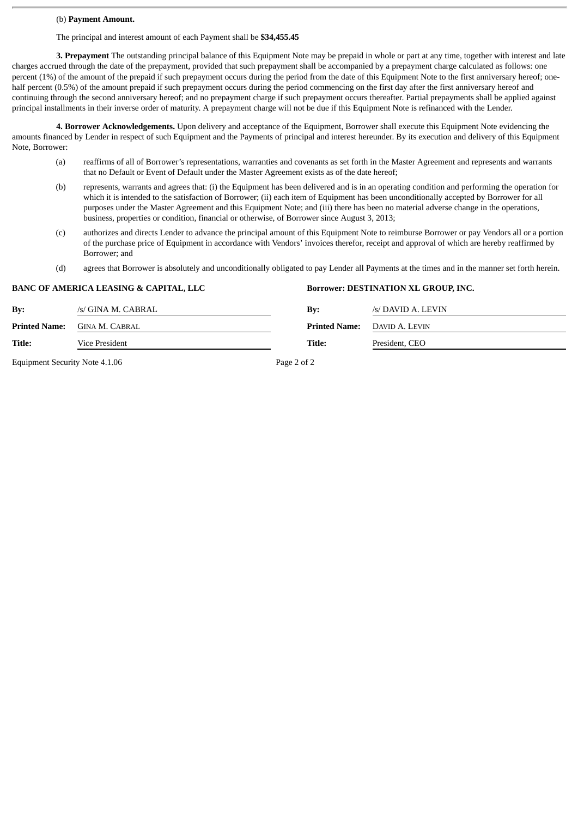### (b) **Payment Amount.**

The principal and interest amount of each Payment shall be **\$34,455.45**

**3. Prepayment** The outstanding principal balance of this Equipment Note may be prepaid in whole or part at any time, together with interest and late charges accrued through the date of the prepayment, provided that such prepayment shall be accompanied by a prepayment charge calculated as follows: one percent (1%) of the amount of the prepaid if such prepayment occurs during the period from the date of this Equipment Note to the first anniversary hereof; onehalf percent (0.5%) of the amount prepaid if such prepayment occurs during the period commencing on the first day after the first anniversary hereof and continuing through the second anniversary hereof; and no prepayment charge if such prepayment occurs thereafter. Partial prepayments shall be applied against principal installments in their inverse order of maturity. A prepayment charge will not be due if this Equipment Note is refinanced with the Lender.

**4. Borrower Acknowledgements.** Upon delivery and acceptance of the Equipment, Borrower shall execute this Equipment Note evidencing the amounts financed by Lender in respect of such Equipment and the Payments of principal and interest hereunder. By its execution and delivery of this Equipment Note, Borrower:

- (a) reaffirms of all of Borrower's representations, warranties and covenants as set forth in the Master Agreement and represents and warrants that no Default or Event of Default under the Master Agreement exists as of the date hereof;
- (b) represents, warrants and agrees that: (i) the Equipment has been delivered and is in an operating condition and performing the operation for which it is intended to the satisfaction of Borrower; (ii) each item of Equipment has been unconditionally accepted by Borrower for all purposes under the Master Agreement and this Equipment Note; and (iii) there has been no material adverse change in the operations, business, properties or condition, financial or otherwise, of Borrower since August 3, 2013;
- (c) authorizes and directs Lender to advance the principal amount of this Equipment Note to reimburse Borrower or pay Vendors all or a portion of the purchase price of Equipment in accordance with Vendors' invoices therefor, receipt and approval of which are hereby reaffirmed by Borrower; and
- (d) agrees that Borrower is absolutely and unconditionally obligated to pay Lender all Payments at the times and in the manner set forth herein.

|               | <i><b>DI RICO 1 INILIALOI I DEI IOHIO &amp; OI II I III IEI, EEU</b></i> |                           | bottower, DEOTHWATION ALL GROUP, HAO. |
|---------------|--------------------------------------------------------------------------|---------------------------|---------------------------------------|
| By:           | /s/ GINA M. CABRAL                                                       | $\mathbf{B} \mathbf{v}$ : | /s/ DAVID A. LEVIN                    |
| Printed Name: | <b>GINA M. CABRAL</b>                                                    | <b>Printed Name:</b>      | DAVID A. LEVIN                        |
| Title:        | Vice President                                                           | Title:                    | President, CEO                        |
|               |                                                                          |                           |                                       |

**BANC OF AMERICA LEASING & CAPITAL, LLC Borrower: DESTINATION XL GROUP, INC.**

Equipment Security Note 4.1.06 Page 2 of 2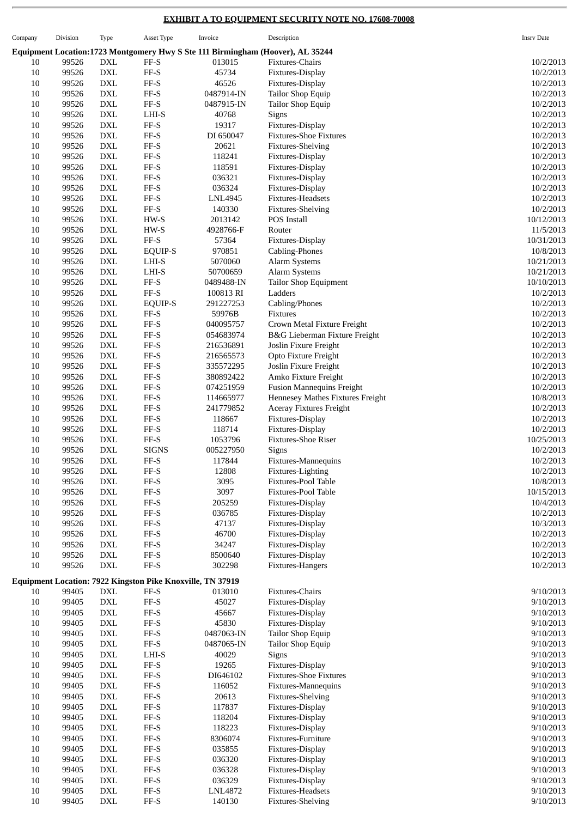# **EXHIBIT A TO EQUIPMENT SECURITY NOTE NO. 17608-70008**

 $\overline{a}$ 

| Company  | Division       | Type                        | Asset Type                                                 | Invoice                | Description                                                                    | <b>Insrv Date</b>      |
|----------|----------------|-----------------------------|------------------------------------------------------------|------------------------|--------------------------------------------------------------------------------|------------------------|
|          |                |                             |                                                            |                        | Equipment Location:1723 Montgomery Hwy S Ste 111 Birmingham (Hoover), AL 35244 |                        |
| 10       | 99526          | <b>DXL</b>                  | FF-S                                                       | 013015                 | Fixtures-Chairs                                                                | 10/2/2013              |
| 10       | 99526          | <b>DXL</b>                  | FF-S                                                       | 45734                  | Fixtures-Display                                                               | 10/2/2013              |
| 10       | 99526          | <b>DXL</b>                  | $\ensuremath{\mathsf{FF-S}}$                               | 46526                  | Fixtures-Display                                                               | 10/2/2013              |
| 10       | 99526          | <b>DXL</b>                  | FF-S                                                       | 0487914-IN             | Tailor Shop Equip                                                              | 10/2/2013              |
| 10       | 99526          | $\mathop{\rm DXL}\nolimits$ | $\ensuremath{\mathsf{FF}}\ensuremath{\text{-S}}$           | 0487915-IN             | Tailor Shop Equip                                                              | 10/2/2013              |
| 10       | 99526          | <b>DXL</b>                  | LHI-S                                                      | 40768                  | Signs                                                                          | 10/2/2013              |
| 10       | 99526          | <b>DXL</b>                  | FF-S                                                       | 19317                  | Fixtures-Display                                                               | 10/2/2013              |
| 10       | 99526          | <b>DXL</b>                  | $\ensuremath{\mathsf{FF-S}}$                               | DI 650047              | <b>Fixtures-Shoe Fixtures</b>                                                  | 10/2/2013              |
| 10       | 99526          | <b>DXL</b>                  | FF-S                                                       | 20621                  | <b>Fixtures-Shelving</b>                                                       | 10/2/2013              |
| 10       | 99526          | $\mathop{\rm DXL}\nolimits$ | $\rm FF\text{-}S$                                          | 118241                 | Fixtures-Display                                                               | 10/2/2013              |
| 10       | 99526          | <b>DXL</b>                  | FF-S                                                       | 118591                 | Fixtures-Display                                                               | 10/2/2013              |
| 10       | 99526          | <b>DXL</b>                  | FF-S                                                       | 036321                 | Fixtures-Display                                                               | 10/2/2013              |
| 10       | 99526          | <b>DXL</b>                  | $\rm FF\text{-}S$                                          | 036324                 | Fixtures-Display                                                               | 10/2/2013              |
| 10       | 99526          | <b>DXL</b>                  | FF-S                                                       | LNL4945                | Fixtures-Headsets                                                              | 10/2/2013              |
| 10       | 99526          | <b>DXL</b>                  | $\rm FF\text{-}S$                                          | 140330                 | <b>Fixtures-Shelving</b>                                                       | 10/2/2013              |
| 10       | 99526          | <b>DXL</b>                  | HW-S                                                       | 2013142                | POS Install                                                                    | 10/12/2013             |
| 10       | 99526          | <b>DXL</b>                  | HW-S                                                       | 4928766-F              | Router                                                                         | 11/5/2013              |
| 10       | 99526          | <b>DXL</b>                  | $\rm FF\text{-}S$                                          | 57364                  | Fixtures-Display                                                               | 10/31/2013             |
| 10       | 99526          | <b>DXL</b>                  | EQUIP-S                                                    | 970851                 | Cabling-Phones                                                                 | 10/8/2013              |
| 10       | 99526          | <b>DXL</b>                  | LHI-S                                                      | 5070060                | Alarm Systems                                                                  | 10/21/2013             |
| 10       | 99526          | <b>DXL</b>                  | LHI-S                                                      | 50700659               | Alarm Systems                                                                  | 10/21/2013             |
| 10       | 99526          | <b>DXL</b>                  | FF-S                                                       | 0489488-IN             | <b>Tailor Shop Equipment</b>                                                   | 10/10/2013             |
| 10       | 99526          | <b>DXL</b>                  | $FF-S$                                                     | 100813 RI              | Ladders                                                                        | 10/2/2013              |
| 10       | 99526          | <b>DXL</b>                  | EQUIP-S                                                    | 291227253              | Cabling/Phones                                                                 | 10/2/2013              |
| 10       | 99526          | <b>DXL</b>                  | FF-S                                                       | 59976B                 | Fixtures                                                                       | 10/2/2013              |
| 10       | 99526          | <b>DXL</b>                  | $\rm FF\text{-}S$                                          | 040095757              | Crown Metal Fixture Freight                                                    | 10/2/2013              |
| 10       | 99526          | <b>DXL</b><br><b>DXL</b>    | FF-S<br>FF-S                                               | 054683974              | B&G Lieberman Fixture Freight                                                  | 10/2/2013              |
| 10<br>10 | 99526<br>99526 | <b>DXL</b>                  | FF-S                                                       | 216536891<br>216565573 | Joslin Fixure Freight<br>Opto Fixture Freight                                  | 10/2/2013<br>10/2/2013 |
| 10       | 99526          | <b>DXL</b>                  | $\rm FF\text{-}S$                                          | 335572295              | Joslin Fixure Freight                                                          | 10/2/2013              |
| 10       | 99526          | <b>DXL</b>                  | $\rm FF\text{-}S$                                          | 380892422              | Amko Fixture Freight                                                           | 10/2/2013              |
| 10       | 99526          | <b>DXL</b>                  | FF-S                                                       | 074251959              | <b>Fusion Mannequins Freight</b>                                               | 10/2/2013              |
| 10       | 99526          | <b>DXL</b>                  | $\rm FF\text{-}S$                                          | 114665977              | Hennesey Mathes Fixtures Freight                                               | 10/8/2013              |
| 10       | 99526          | <b>DXL</b>                  | FF-S                                                       | 241779852              | Aceray Fixtures Freight                                                        | 10/2/2013              |
| 10       | 99526          | <b>DXL</b>                  | $\rm FF\text{-}S$                                          | 118667                 | Fixtures-Display                                                               | 10/2/2013              |
| 10       | 99526          | <b>DXL</b>                  | FF-S                                                       | 118714                 | Fixtures-Display                                                               | 10/2/2013              |
| 10       | 99526          | <b>DXL</b>                  | $\rm FF\text{-}S$                                          | 1053796                | Fixtures-Shoe Riser                                                            | 10/25/2013             |
| 10       | 99526          | <b>DXL</b>                  | <b>SIGNS</b>                                               | 005227950              | Signs                                                                          | 10/2/2013              |
| 10       | 99526          | <b>DXL</b>                  | $FF-S$                                                     | 117844                 | <b>Fixtures-Mannequins</b>                                                     | 10/2/2013              |
| $10\,$   | 99526          | $\mathop{\rm DXL}\nolimits$ | FF-S                                                       | 12808                  | Fixtures-Lighting                                                              | 10/2/2013              |
| 10       | 99526          | <b>DXL</b>                  | FF-S                                                       | 3095                   | Fixtures-Pool Table                                                            | 10/8/2013              |
| 10       | 99526          | <b>DXL</b>                  | $\rm FF\text{-}S$                                          | 3097                   | Fixtures-Pool Table                                                            | 10/15/2013             |
| 10       | 99526          | <b>DXL</b>                  | $\rm FF\text{-}S$                                          | 205259                 | Fixtures-Display                                                               | 10/4/2013              |
| 10       | 99526          | <b>DXL</b>                  | FF-S                                                       | 036785                 | Fixtures-Display                                                               | 10/2/2013              |
| 10       | 99526          | <b>DXL</b>                  | $\rm FF\text{-}S$                                          | 47137                  | Fixtures-Display                                                               | 10/3/2013              |
| 10       | 99526          | <b>DXL</b>                  | $\rm FF\text{-}S$                                          | 46700                  | Fixtures-Display                                                               | 10/2/2013              |
| 10       | 99526          | <b>DXL</b>                  | $\rm FF\text{-}S$                                          | 34247                  | Fixtures-Display                                                               | 10/2/2013              |
| 10       | 99526          | <b>DXL</b>                  | $\rm FF\text{-}S$                                          | 8500640                | Fixtures-Display                                                               | 10/2/2013              |
| 10       | 99526          | <b>DXL</b>                  | FF-S                                                       | 302298                 | Fixtures-Hangers                                                               | 10/2/2013              |
|          |                |                             | Equipment Location: 7922 Kingston Pike Knoxville, TN 37919 |                        |                                                                                |                        |
| 10       | 99405          | <b>DXL</b>                  | FF-S                                                       | 013010                 | Fixtures-Chairs                                                                | 9/10/2013              |
| 10       | 99405          | <b>DXL</b>                  | $\rm FF\text{-}S$                                          | 45027                  | Fixtures-Display                                                               | 9/10/2013              |
| 10       | 99405          | <b>DXL</b>                  | FF-S                                                       | 45667                  | Fixtures-Display                                                               | 9/10/2013              |
| 10       | 99405          | <b>DXL</b>                  | $\rm FF\text{-}S$                                          | 45830                  | Fixtures-Display                                                               | 9/10/2013              |
| 10       | 99405          | $\mathop{\rm DXL}\nolimits$ | $\rm FF\text{-}S$                                          | 0487063-IN             | Tailor Shop Equip                                                              | 9/10/2013              |
| 10       | 99405          | <b>DXL</b>                  | $\rm FF\text{-}S$                                          | 0487065-IN             | Tailor Shop Equip                                                              | 9/10/2013              |
| 10       | 99405          | <b>DXL</b>                  | LHI-S                                                      | 40029                  | Signs                                                                          | 9/10/2013              |
| 10       | 99405          | <b>DXL</b>                  | FF-S                                                       | 19265                  | Fixtures-Display                                                               | 9/10/2013              |
| 10       | 99405          | <b>DXL</b>                  | FF-S                                                       | DI646102               | <b>Fixtures-Shoe Fixtures</b>                                                  | 9/10/2013              |
| 10       | 99405          | $\mathop{\rm DXL}\nolimits$ | $\rm FF\text{-}S$                                          | 116052                 | Fixtures-Mannequins                                                            | 9/10/2013              |
| 10       | 99405          | <b>DXL</b>                  | $\rm FF\text{-}S$                                          | 20613                  | <b>Fixtures-Shelving</b>                                                       | 9/10/2013              |
| 10       | 99405          | <b>DXL</b>                  | $\rm FF\text{-}S$                                          | 117837                 | Fixtures-Display                                                               | 9/10/2013              |
| 10       | 99405          | <b>DXL</b>                  | FF-S                                                       | 118204                 | Fixtures-Display                                                               | 9/10/2013              |
| 10       | 99405          | <b>DXL</b>                  | $\rm FF\text{-}S$                                          | 118223                 | Fixtures-Display                                                               | 9/10/2013              |
| 10       | 99405          | $\mathop{\rm DXL}\nolimits$ | $\rm FF\text{-}S$                                          | 8306074                | Fixtures-Furniture                                                             | 9/10/2013              |
| 10       | 99405          | <b>DXL</b>                  | FF-S                                                       | 035855                 | Fixtures-Display                                                               | 9/10/2013              |
| 10       | 99405          | <b>DXL</b>                  | FF-S                                                       | 036320                 | Fixtures-Display                                                               | 9/10/2013              |
| 10       | 99405          | <b>DXL</b>                  | $\rm FF\text{-}S$                                          | 036328                 | Fixtures-Display                                                               | 9/10/2013              |
| 10       | 99405          | <b>DXL</b>                  | $_{\rm FF-S}$                                              | 036329                 | Fixtures-Display                                                               | 9/10/2013              |
| $10\,$   | 99405          | $\mathop{\rm DXL}\nolimits$ | $\rm FF\text{-}S$                                          | LNL4872                | Fixtures-Headsets                                                              | 9/10/2013              |
| 10       | 99405          | <b>DXL</b>                  | $\rm FF\text{-}S$                                          | 140130                 | <b>Fixtures-Shelving</b>                                                       | 9/10/2013              |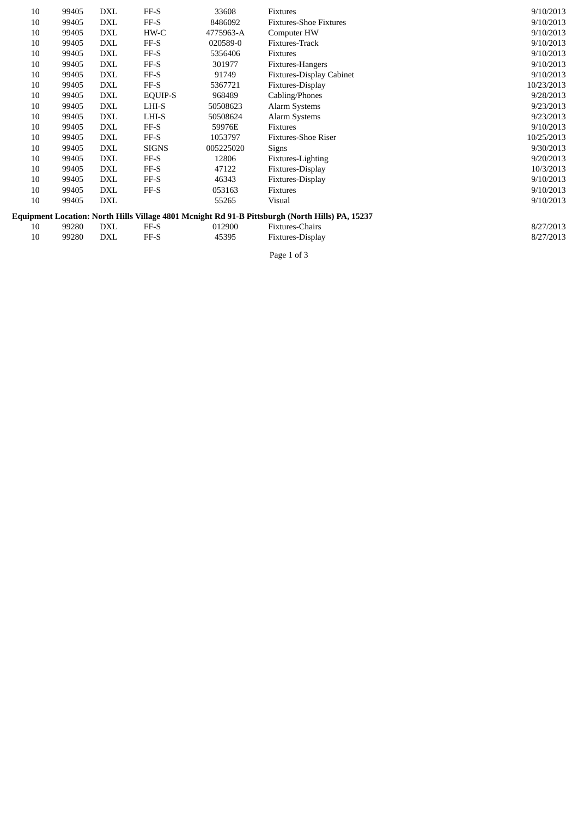| 10 | 99405 | <b>DXL</b> | FF-S         | 33608     | Fixtures                                                                                        | 9/10/2013  |
|----|-------|------------|--------------|-----------|-------------------------------------------------------------------------------------------------|------------|
| 10 | 99405 | <b>DXL</b> | FF-S         | 8486092   | <b>Fixtures-Shoe Fixtures</b>                                                                   | 9/10/2013  |
| 10 | 99405 | DXL        | HW-C         | 4775963-A | Computer HW                                                                                     | 9/10/2013  |
| 10 | 99405 | <b>DXL</b> | FF-S         | 020589-0  | Fixtures-Track                                                                                  | 9/10/2013  |
| 10 | 99405 | <b>DXL</b> | FF-S         | 5356406   | Fixtures                                                                                        | 9/10/2013  |
| 10 | 99405 | <b>DXL</b> | FF-S         | 301977    | Fixtures-Hangers                                                                                | 9/10/2013  |
| 10 | 99405 | <b>DXL</b> | FF-S         | 91749     | <b>Fixtures-Display Cabinet</b>                                                                 | 9/10/2013  |
| 10 | 99405 | DXL        | FF-S         | 5367721   | Fixtures-Display                                                                                | 10/23/2013 |
| 10 | 99405 | <b>DXL</b> | EQUIP-S      | 968489    | Cabling/Phones                                                                                  | 9/28/2013  |
| 10 | 99405 | DXL        | LHI-S        | 50508623  | Alarm Systems                                                                                   | 9/23/2013  |
| 10 | 99405 | <b>DXL</b> | LHI-S        | 50508624  | Alarm Systems                                                                                   | 9/23/2013  |
| 10 | 99405 | DXL        | $FF-S$       | 59976E    | Fixtures                                                                                        | 9/10/2013  |
| 10 | 99405 | DXL        | FF-S         | 1053797   | <b>Fixtures-Shoe Riser</b>                                                                      | 10/25/2013 |
| 10 | 99405 | <b>DXL</b> | <b>SIGNS</b> | 005225020 | Signs                                                                                           | 9/30/2013  |
| 10 | 99405 | DXL        | FF-S         | 12806     | Fixtures-Lighting                                                                               | 9/20/2013  |
| 10 | 99405 | <b>DXL</b> | FF-S         | 47122     | Fixtures-Display                                                                                | 10/3/2013  |
| 10 | 99405 | DXL        | FF-S         | 46343     | Fixtures-Display                                                                                | 9/10/2013  |
| 10 | 99405 | DXL        | FF-S         | 053163    | Fixtures                                                                                        | 9/10/2013  |
| 10 | 99405 | <b>DXL</b> |              | 55265     | Visual                                                                                          | 9/10/2013  |
|    |       |            |              |           | Equipment Location: North Hills Village 4801 Mcnight Rd 91-B Pittsburgh (North Hills) PA, 15237 |            |
| 10 | 99280 | DXL        | $FF-S$       | 012900    | Fixtures-Chairs                                                                                 | 8/27/2013  |
| 10 | 99280 | <b>DXL</b> | FF-S         | 45395     | Fixtures-Display                                                                                | 8/27/2013  |
|    |       |            |              |           |                                                                                                 |            |

Page 1 of 3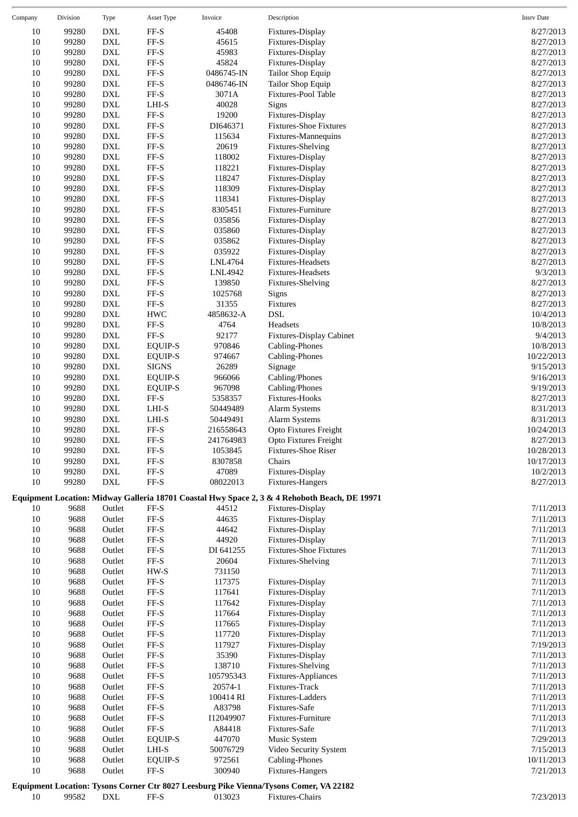| Company      | Division       | <b>Type</b>                 | Asset Type                | Invoice            | Description                                                                                   | <b>Insrv Date</b>      |
|--------------|----------------|-----------------------------|---------------------------|--------------------|-----------------------------------------------------------------------------------------------|------------------------|
| 10           | 99280          | <b>DXL</b>                  | FF-S                      | 45408              | Fixtures-Display                                                                              | 8/27/2013              |
| $10\,$       | 99280          | <b>DXL</b>                  | $\rm FF\text{-}S$         | 45615              | Fixtures-Display                                                                              | 8/27/2013              |
| 10           | 99280          | DXL                         | $\rm FF\text{-}S$         | 45983              | Fixtures-Display                                                                              | 8/27/2013              |
| $10\,$       | 99280          | <b>DXL</b>                  | $\rm FF\text{-}S$         | 45824              | Fixtures-Display                                                                              | 8/27/2013              |
| 10           | 99280          | <b>DXL</b>                  | $\rm FF\text{-}S$         | 0486745-IN         | Tailor Shop Equip                                                                             | 8/27/2013              |
| 10           | 99280          | <b>DXL</b>                  | FF-S                      | 0486746-IN         | Tailor Shop Equip                                                                             | 8/27/2013              |
| 10           | 99280          | <b>DXL</b>                  | $\rm FF\text{-}S$         | 3071A              | Fixtures-Pool Table                                                                           | 8/27/2013              |
| 10           | 99280          | <b>DXL</b>                  | LHI-S                     | 40028              | Signs                                                                                         | 8/27/2013              |
| $10\,$       | 99280          | <b>DXL</b>                  | $\rm FF\text{-}S$         | 19200              | Fixtures-Display                                                                              | 8/27/2013              |
| 10           | 99280          | <b>DXL</b>                  | $\rm FF\text{-}S$         | DI646371           | <b>Fixtures-Shoe Fixtures</b>                                                                 | 8/27/2013              |
| 10           | 99280          | <b>DXL</b>                  | $\rm FF\text{-}S$         | 115634             | Fixtures-Mannequins                                                                           | 8/27/2013              |
| 10           | 99280          | <b>DXL</b>                  | $\rm FF\text{-}S$         | 20619              | Fixtures-Shelving                                                                             | 8/27/2013              |
| 10           | 99280          | DXL                         | $\rm FF\text{-}S$         | 118002             | Fixtures-Display                                                                              | 8/27/2013              |
| $10\,$       | 99280          | <b>DXL</b>                  | $\rm FF\text{-}S$         | 118221             | Fixtures-Display                                                                              | 8/27/2013              |
| 10           | 99280          | <b>DXL</b>                  | $\rm FF\text{-}S$         | 118247             | Fixtures-Display                                                                              | 8/27/2013              |
| 10           | 99280          | <b>DXL</b>                  | $\rm FF\text{-}S$         | 118309             | Fixtures-Display                                                                              | 8/27/2013              |
| 10           | 99280          | <b>DXL</b>                  | FF-S                      | 118341             | Fixtures-Display                                                                              | 8/27/2013              |
| 10           | 99280          | <b>DXL</b>                  | FF-S                      | 8305451            | Fixtures-Furniture                                                                            | 8/27/2013              |
| $10\,$       | 99280          | <b>DXL</b>                  | $\rm FF\text{-}S$         | 035856             | Fixtures-Display                                                                              | 8/27/2013              |
| 10           | 99280          | <b>DXL</b>                  | $\rm FF\text{-}S$         | 035860             | Fixtures-Display                                                                              | 8/27/2013              |
| 10           | 99280          | <b>DXL</b>                  | $\rm FF\text{-}S$         | 035862             | Fixtures-Display                                                                              | 8/27/2013              |
| $10\,$       | 99280          | <b>DXL</b>                  | $\rm FF\text{-}S$         | 035922             | Fixtures-Display                                                                              | 8/27/2013              |
| 10           | 99280          | <b>DXL</b>                  | $\rm FF\text{-}S$         | LNL4764            | <b>Fixtures-Headsets</b>                                                                      | 8/27/2013              |
| $10\,$       | 99280          | <b>DXL</b>                  | $\rm FF\text{-}S$         | LNL4942            | Fixtures-Headsets                                                                             | 9/3/2013               |
| 10           | 99280          | <b>DXL</b>                  | $\rm FF\text{-}S$         | 139850             | <b>Fixtures-Shelving</b>                                                                      | 8/27/2013              |
| 10           | 99280          | <b>DXL</b>                  | $\rm FF\text{-}S$<br>FF-S | 1025768            | Signs                                                                                         | 8/27/2013              |
| $10\,$<br>10 | 99280          | <b>DXL</b><br><b>DXL</b>    | HWC                       | 31355<br>4858632-A | Fixtures<br><b>DSL</b>                                                                        | 8/27/2013              |
| $10\,$       | 99280<br>99280 | <b>DXL</b>                  | $\rm FF\text{-}S$         | 4764               | Headsets                                                                                      | 10/4/2013<br>10/8/2013 |
| 10           | 99280          | <b>DXL</b>                  | $\rm FF\text{-}S$         | 92177              | <b>Fixtures-Display Cabinet</b>                                                               | 9/4/2013               |
| 10           | 99280          | <b>DXL</b>                  | <b>EQUIP-S</b>            | 970846             | Cabling-Phones                                                                                | 10/8/2013              |
| $10\,$       | 99280          | <b>DXL</b>                  | <b>EQUIP-S</b>            | 974667             | Cabling-Phones                                                                                | 10/22/2013             |
| 10           | 99280          | DXL                         | <b>SIGNS</b>              | 26289              | Signage                                                                                       | 9/15/2013              |
| $10\,$       | 99280          | <b>DXL</b>                  | <b>EQUIP-S</b>            | 966066             | Cabling/Phones                                                                                | 9/16/2013              |
| 10           | 99280          | <b>DXL</b>                  | <b>EQUIP-S</b>            | 967098             | Cabling/Phones                                                                                | 9/19/2013              |
| 10           | 99280          | <b>DXL</b>                  | FF-S                      | 5358357            | Fixtures-Hooks                                                                                | 8/27/2013              |
| 10           | 99280          | <b>DXL</b>                  | LHI-S                     | 50449489           | Alarm Systems                                                                                 | 8/31/2013              |
| 10           | 99280          | <b>DXL</b>                  | LHI-S                     | 50449491           | Alarm Systems                                                                                 | 8/31/2013              |
| $10\,$       | 99280          | <b>DXL</b>                  | $\rm FF\text{-}S$         | 216558643          | Opto Fixtures Freight                                                                         | 10/24/2013             |
| 10           | 99280          | <b>DXL</b>                  | FF-S                      | 241764983          | Opto Fixtures Freight                                                                         | 8/27/2013              |
| $10\,$       | 99280          | <b>DXL</b>                  | $\rm FF\text{-}S$         | 1053845            | Fixtures-Shoe Riser                                                                           | 10/28/2013             |
| 10           | 99280          | $\mathop{\rm DXL}\nolimits$ | $\rm FF\text{-}S$         | 8307858            | Chairs                                                                                        | 10/17/2013             |
| 10           | 99280          | <b>DXL</b>                  | FF-S                      | 47089              | Fixtures-Display                                                                              | 10/2/2013              |
| 10           | 99280          | <b>DXL</b>                  | FF-S                      | 08022013           | Fixtures-Hangers                                                                              | 8/27/2013              |
|              |                |                             |                           |                    | Equipment Location: Midway Galleria 18701 Coastal Hwy Space 2, 3 & 4 Rehoboth Beach, DE 19971 |                        |
| 10           | 9688           | Outlet                      | $\rm FF\text{-}S$         | 44512              | Fixtures-Display                                                                              | 7/11/2013              |
| 10           | 9688           | Outlet                      | $\rm FF\text{-}S$         | 44635              | Fixtures-Display                                                                              | 7/11/2013              |
| 10           | 9688           | Outlet                      | $\rm FF\text{-}S$         | 44642              | Fixtures-Display                                                                              | 7/11/2013              |
| $10\,$       | 9688           | Outlet                      | FF-S                      | 44920              | Fixtures-Display                                                                              | 7/11/2013              |
| 10           | 9688           | Outlet                      | $\rm FF\text{-}S$         | DI 641255          | <b>Fixtures-Shoe Fixtures</b>                                                                 | 7/11/2013              |
| $10\,$       | 9688           | Outlet                      | $\rm FF\text{-}S$         | 20604              | <b>Fixtures-Shelving</b>                                                                      | 7/11/2013              |
| $10\,$       | 9688           | Outlet                      | $HW-S$                    | 731150             |                                                                                               | 7/11/2013              |
| 10           | 9688           | Outlet                      | FF-S                      | 117375             | Fixtures-Display                                                                              | 7/11/2013              |
| 10           | 9688           | Outlet                      | FF-S                      | 117641             | Fixtures-Display                                                                              | 7/11/2013              |
| 10           | 9688           | Outlet                      | $_{\rm FF-S}$             | 117642             | Fixtures-Display                                                                              | 7/11/2013              |
| $10\,$       | 9688           | Outlet                      | FF-S                      | 117664             | Fixtures-Display                                                                              | 7/11/2013              |
| $10\,$       | 9688           | Outlet                      | FF-S                      | 117665             | Fixtures-Display                                                                              | 7/11/2013              |
| 10           | 9688           | Outlet                      | FF-S                      | 117720             | Fixtures-Display                                                                              | 7/11/2013              |
| 10           | 9688           | Outlet                      | FF-S                      | 117927             | Fixtures-Display                                                                              | 7/19/2013              |
| 10           | 9688           | Outlet                      | FF-S                      | 35390              | Fixtures-Display                                                                              | 7/11/2013              |
| $10\,$       | 9688           | Outlet                      | $\rm FF\text{-}S$         | 138710             | Fixtures-Shelving                                                                             | 7/11/2013              |
| $10\,$       | 9688           | Outlet                      | $\rm FF\text{-}S$         | 105795343          | Fixtures-Appliances                                                                           | 7/11/2013              |
| 10           | 9688           | Outlet                      | FF-S                      | 20574-1            | Fixtures-Track                                                                                | 7/11/2013              |
| $10\,$       | 9688           | Outlet                      | FF-S                      | 100414 RI          | Fixtures-Ladders                                                                              | 7/11/2013              |
| 10           | 9688           | Outlet                      | $_{\rm FF-S}$             | A83798             | Fixtures-Safe                                                                                 | 7/11/2013              |
| $10\,$       | 9688           | Outlet                      | $\rm FF\text{-}S$         | I12049907          | Fixtures-Furniture                                                                            | 7/11/2013              |
| $10\,$       | 9688           | Outlet                      | $\rm FF\text{-}S$         | A84418             | Fixtures-Safe                                                                                 | 7/11/2013              |
| 10           | 9688           | Outlet                      | <b>EQUIP-S</b>            | 447070             | Music System                                                                                  | 7/29/2013              |
| $10\,$       | 9688           | Outlet                      | LHI-S                     | 50076729           | Video Security System                                                                         | 7/15/2013              |
| 10           | 9688           | Outlet                      | EQUIP-S                   | 972561             | Cabling-Phones                                                                                | 10/11/2013             |
| $10\,$       | 9688           | Outlet                      | FF-S                      | 300940             | Fixtures-Hangers                                                                              | 7/21/2013              |
|              |                |                             |                           |                    | Equipment Location: Tysons Corner Ctr 8027 Leesburg Pike Vienna/Tysons Comer, VA 22182        |                        |

10 99582 DXL FF-S 013023 Fixtures-Chairs 7/23/2013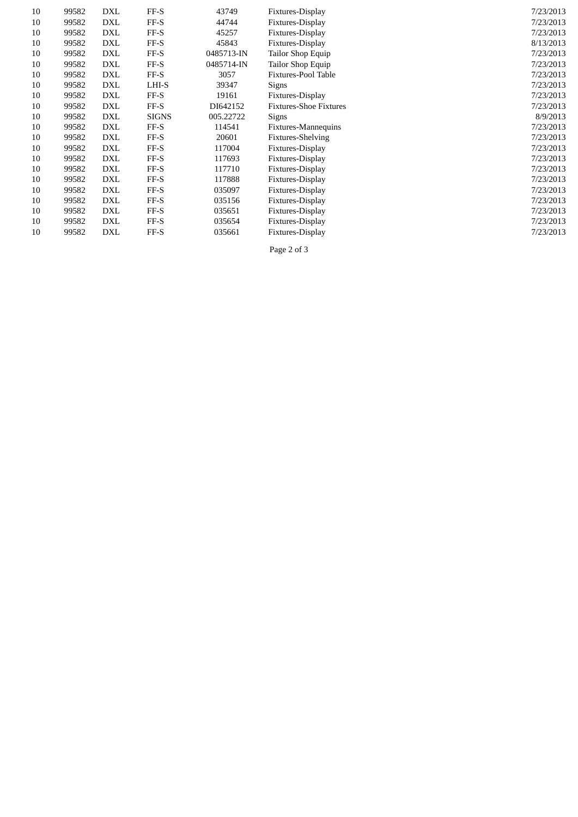| 10 | 99582 | DXL        | $FF-S$       | 43749      | Fixtures-Display              | 7/23/2013 |
|----|-------|------------|--------------|------------|-------------------------------|-----------|
| 10 | 99582 | <b>DXL</b> | $FF-S$       | 44744      | Fixtures-Display              | 7/23/2013 |
| 10 | 99582 | <b>DXL</b> | $FF-S$       | 45257      | Fixtures-Display              | 7/23/2013 |
| 10 | 99582 | <b>DXL</b> | FF-S         | 45843      | Fixtures-Display              | 8/13/2013 |
| 10 | 99582 | <b>DXL</b> | FF-S         | 0485713-IN | Tailor Shop Equip             | 7/23/2013 |
| 10 | 99582 | DXL        | $FF-S$       | 0485714-IN | Tailor Shop Equip             | 7/23/2013 |
| 10 | 99582 | <b>DXL</b> | $FF-S$       | 3057       | Fixtures-Pool Table           | 7/23/2013 |
| 10 | 99582 | <b>DXL</b> | LHI-S        | 39347      | Signs                         | 7/23/2013 |
| 10 | 99582 | <b>DXL</b> | $FF-S$       | 19161      | Fixtures-Display              | 7/23/2013 |
| 10 | 99582 | DXL        | $FF-S$       | DI642152   | <b>Fixtures-Shoe Fixtures</b> | 7/23/2013 |
| 10 | 99582 | DXL        | <b>SIGNS</b> | 005.22722  | Signs                         | 8/9/2013  |
| 10 | 99582 | <b>DXL</b> | $FF-S$       | 114541     | Fixtures-Mannequins           | 7/23/2013 |
| 10 | 99582 | DXL        | $FF-S$       | 20601      | <b>Fixtures-Shelving</b>      | 7/23/2013 |
| 10 | 99582 | DXL        | $FF-S$       | 117004     | Fixtures-Display              | 7/23/2013 |
| 10 | 99582 | <b>DXL</b> | FF-S         | 117693     | Fixtures-Display              | 7/23/2013 |
| 10 | 99582 | DXL        | $FF-S$       | 117710     | Fixtures-Display              | 7/23/2013 |
| 10 | 99582 | DXL        | FF-S         | 117888     | Fixtures-Display              | 7/23/2013 |
| 10 | 99582 | DXL        | FF-S         | 035097     | Fixtures-Display              | 7/23/2013 |
| 10 | 99582 | <b>DXL</b> | $FF-S$       | 035156     | Fixtures-Display              | 7/23/2013 |
| 10 | 99582 | DXL        | FF-S         | 035651     | Fixtures-Display              | 7/23/2013 |
| 10 | 99582 | <b>DXL</b> | $FF-S$       | 035654     | Fixtures-Display              | 7/23/2013 |
| 10 | 99582 | <b>DXL</b> | FF-S         | 035661     | Fixtures-Display              | 7/23/2013 |
|    |       |            |              |            |                               |           |

Page 2 of 3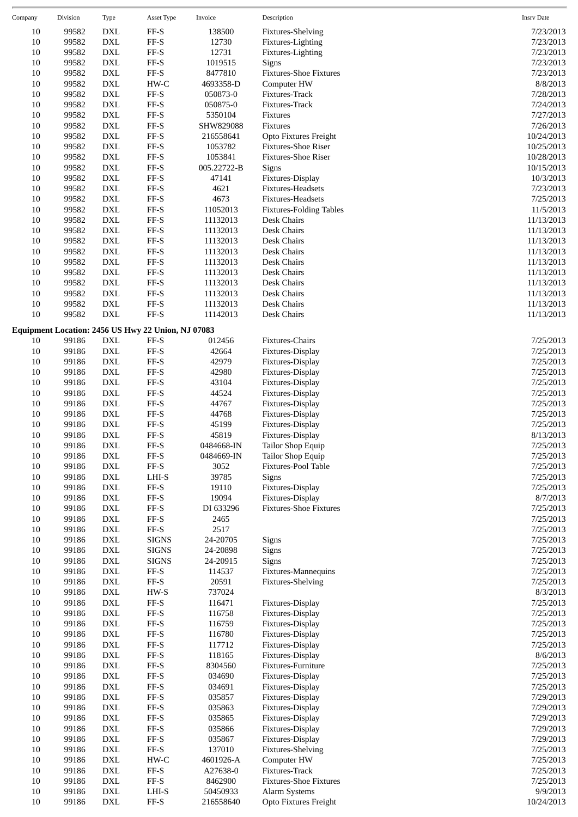| Company      | Division       | Type                        | <b>Asset Type</b>                                  | Invoice              | Description                          | <b>Insrv Date</b>        |
|--------------|----------------|-----------------------------|----------------------------------------------------|----------------------|--------------------------------------|--------------------------|
| 10           | 99582          | <b>DXL</b>                  | FF-S                                               | 138500               | Fixtures-Shelving                    | 7/23/2013                |
| 10           | 99582          | <b>DXL</b>                  | FF-S                                               | 12730                | Fixtures-Lighting                    | 7/23/2013                |
| 10           | 99582          | <b>DXL</b>                  | $\rm FF\text{-}S$                                  | 12731                | Fixtures-Lighting                    | 7/23/2013                |
| 10           | 99582          | <b>DXL</b>                  | FF-S                                               | 1019515              | Signs                                | 7/23/2013                |
| 10           | 99582          | $\mathop{\rm DXL}\nolimits$ | FF-S                                               | 8477810              | <b>Fixtures-Shoe Fixtures</b>        | 7/23/2013                |
| 10           | 99582          | <b>DXL</b>                  | HW-C                                               | 4693358-D            | Computer HW                          | 8/8/2013                 |
| 10           | 99582          | <b>DXL</b>                  | FF-S                                               | 050873-0             | Fixtures-Track                       | 7/28/2013                |
| 10           | 99582          | <b>DXL</b>                  | FF-S                                               | 050875-0             | Fixtures-Track                       | 7/24/2013                |
| 10           | 99582          | <b>DXL</b>                  | FF-S                                               | 5350104              | Fixtures                             | 7/27/2013                |
| 10           | 99582          | $\mathop{\rm DXL}\nolimits$ | FF-S                                               | SHW829088            | Fixtures                             | 7/26/2013                |
| 10           | 99582          | <b>DXL</b>                  | FF-S                                               | 216558641            | Opto Fixtures Freight                | 10/24/2013               |
| 10           | 99582          | ${\rm DXL}$                 | FF-S                                               | 1053782              | Fixtures-Shoe Riser                  | 10/25/2013               |
| 10           | 99582          | <b>DXL</b>                  | FF-S                                               | 1053841              | <b>Fixtures-Shoe Riser</b>           | 10/28/2013               |
| 10           | 99582          | <b>DXL</b>                  | FF-S                                               | 005.22722-B          | Signs                                | 10/15/2013               |
| 10           | 99582          | DXL                         | FF-S                                               | 47141                | Fixtures-Display                     | 10/3/2013                |
| 10           | 99582          | <b>DXL</b>                  | FF-S                                               | 4621                 | Fixtures-Headsets                    | 7/23/2013                |
| 10           | 99582          | <b>DXL</b>                  | FF-S                                               | 4673                 | Fixtures-Headsets                    | 7/25/2013                |
| 10           | 99582          | <b>DXL</b>                  | FF-S                                               | 11052013             | <b>Fixtures-Folding Tables</b>       | 11/5/2013                |
| $10\,$       | 99582          | <b>DXL</b>                  | FF-S                                               | 11132013             | Desk Chairs                          | 11/13/2013               |
| 10           | 99582          | $\mathop{\rm DXL}\nolimits$ | FF-S                                               | 11132013             | Desk Chairs                          | 11/13/2013               |
| 10           | 99582          | <b>DXL</b>                  | FF-S                                               | 11132013             | Desk Chairs                          | 11/13/2013               |
| 10           | 99582          | <b>DXL</b>                  | FF-S<br>FF-S                                       | 11132013             | Desk Chairs<br>Desk Chairs           | 11/13/2013               |
| 10           | 99582<br>99582 | <b>DXL</b><br><b>DXL</b>    | FF-S                                               | 11132013             |                                      | 11/13/2013               |
| 10           |                |                             | FF-S                                               | 11132013             | Desk Chairs                          | 11/13/2013               |
| 10           | 99582<br>99582 | DXL<br><b>DXL</b>           | FF-S                                               | 11132013             | Desk Chairs<br>Desk Chairs           | 11/13/2013               |
| 10<br>$10\,$ | 99582          | ${\rm DXL}$                 | $FF-S$                                             | 11132013<br>11132013 | Desk Chairs                          | 11/13/2013<br>11/13/2013 |
| 10           | 99582          | <b>DXL</b>                  | FF-S                                               | 11142013             | Desk Chairs                          | 11/13/2013               |
|              |                |                             |                                                    |                      |                                      |                          |
|              |                |                             | Equipment Location: 2456 US Hwy 22 Union, NJ 07083 |                      |                                      |                          |
| 10<br>10     | 99186<br>99186 | <b>DXL</b><br><b>DXL</b>    | FF-S<br>FF-S                                       | 012456<br>42664      | Fixtures-Chairs<br>Fixtures-Display  | 7/25/2013<br>7/25/2013   |
| 10           | 99186          | <b>DXL</b>                  | FF-S                                               | 42979                | Fixtures-Display                     | 7/25/2013                |
| 10           | 99186          | <b>DXL</b>                  | FF-S                                               | 42980                | Fixtures-Display                     | 7/25/2013                |
| 10           | 99186          | <b>DXL</b>                  | FF-S                                               | 43104                | Fixtures-Display                     | 7/25/2013                |
| 10           | 99186          | <b>DXL</b>                  | FF-S                                               | 44524                | Fixtures-Display                     | 7/25/2013                |
| 10           | 99186          | <b>DXL</b>                  | FF-S                                               | 44767                | Fixtures-Display                     | 7/25/2013                |
| 10           | 99186          | DXL                         | FF-S                                               | 44768                | Fixtures-Display                     | 7/25/2013                |
| 10           | 99186          | <b>DXL</b>                  | FF-S                                               | 45199                | Fixtures-Display                     | 7/25/2013                |
| 10           | 99186          | <b>DXL</b>                  | FF-S                                               | 45819                | Fixtures-Display                     | 8/13/2013                |
| 10           | 99186          | DXL                         | FF-S                                               | 0484668-IN           | Tailor Shop Equip                    | 7/25/2013                |
| 10           | 99186          | $\mathop{\rm DXL}\nolimits$ | FF-S                                               | 0484669-IN           | <b>Tailor Shop Equip</b>             | 7/25/2013                |
| 10           | 99186          | DXL                         | FF-S                                               | 3052                 | Fixtures-Pool Table                  | 7/25/2013                |
| 10           | 99186          | DXL                         | LHI-S                                              | 39785                | Signs                                | 7/25/2013                |
| 10           | 99186          | $\mathop{\rm DXL}\nolimits$ | FF-S                                               | 19110                | Fixtures-Display                     | 7/25/2013                |
| 10           | 99186          | DXL                         | $\rm FF\text{-}S$                                  | 19094                | Fixtures-Display                     | 8/7/2013                 |
| 10           | 99186          | ${\rm DXL}$                 | FF-S                                               | DI 633296            | <b>Fixtures-Shoe Fixtures</b>        | 7/25/2013                |
| 10           | 99186          | <b>DXL</b>                  | $\rm FF\text{-}S$                                  | 2465                 |                                      | 7/25/2013                |
| 10           | 99186          | ${\rm DXL}$                 | FF-S                                               | 2517                 |                                      | 7/25/2013                |
| 10           | 99186          | $\mathop{\rm DXL}\nolimits$ | <b>SIGNS</b>                                       | 24-20705             | Signs                                | 7/25/2013                |
| 10           | 99186          | DXL                         | <b>SIGNS</b>                                       | 24-20898             | Signs                                | 7/25/2013                |
| 10           | 99186          | ${\rm DXL}$                 | <b>SIGNS</b>                                       | 24-20915             | Signs                                | 7/25/2013                |
| 10           | 99186          | ${\rm DXL}$                 | $\rm FF\text{-}S$                                  | 114537               | Fixtures-Mannequins                  | 7/25/2013                |
| 10           | 99186          | <b>DXL</b>                  | FF-S                                               | 20591                | Fixtures-Shelving                    | 7/25/2013                |
| 10           | 99186          | $\mathop{\rm DXL}\nolimits$ | $HW-S$                                             | 737024               |                                      | 8/3/2013                 |
| 10           | 99186          | DXL                         | FF-S<br>FF-S                                       | 116471<br>116758     | Fixtures-Display                     | 7/25/2013                |
| 10           | 99186          | ${\rm DXL}$                 | $\rm FF\text{-}S$                                  | 116759               | Fixtures-Display                     | 7/25/2013<br>7/25/2013   |
| 10<br>10     | 99186<br>99186 | ${\rm DXL}$<br><b>DXL</b>   | FF-S                                               | 116780               | Fixtures-Display<br>Fixtures-Display | 7/25/2013                |
| 10           | 99186          | $\mathop{\rm DXL}\nolimits$ | $\rm FF\text{-}S$                                  | 117712               | Fixtures-Display                     | 7/25/2013                |
| 10           | 99186          | ${\rm DXL}$                 | FF-S                                               | 118165               | Fixtures-Display                     | 8/6/2013                 |
| 10           | 99186          | ${\rm DXL}$                 | FF-S                                               | 8304560              | Fixtures-Furniture                   | 7/25/2013                |
| 10           | 99186          | ${\rm DXL}$                 | FF-S                                               | 034690               | Fixtures-Display                     | 7/25/2013                |
| 10           | 99186          | <b>DXL</b>                  | FF-S                                               | 034691               | Fixtures-Display                     | 7/25/2013                |
| $10\,$       | 99186          | <b>DXL</b>                  | FF-S                                               | 035857               | Fixtures-Display                     | 7/29/2013                |
| 10           | 99186          | DXL                         | FF-S                                               | 035863               | Fixtures-Display                     | 7/29/2013                |
| 10           | 99186          | ${\rm DXL}$                 | FF-S                                               | 035865               | Fixtures-Display                     | 7/29/2013                |
| 10           | 99186          | ${\rm DXL}$                 | $\rm FF\text{-}S$                                  | 035866               | Fixtures-Display                     | 7/29/2013                |
| 10           | 99186          | <b>DXL</b>                  | FF-S                                               | 035867               | Fixtures-Display                     | 7/29/2013                |
| 10           | 99186          | <b>DXL</b>                  | $\rm FF\text{-}S$                                  | 137010               | Fixtures-Shelving                    | 7/25/2013                |
| 10           | 99186          | ${\rm DXL}$                 | $HW-C$                                             | 4601926-A            | Computer HW                          | 7/25/2013                |
| 10           | 99186          | ${\rm DXL}$                 | $_{\rm FF-S}$                                      | A27638-0             | Fixtures-Track                       | 7/25/2013                |
| 10           | 99186          | DXL                         | $\rm FF\text{-}S$                                  | 8462900              | <b>Fixtures-Shoe Fixtures</b>        | 7/25/2013                |
| 10           | 99186          | ${\rm DXL}$                 | $_{\rm LHI-S}$                                     | 50450933             | Alarm Systems                        | 9/9/2013                 |
| $10\,$       | 99186          | DXL                         | FF-S                                               | 216558640            | Opto Fixtures Freight                | 10/24/2013               |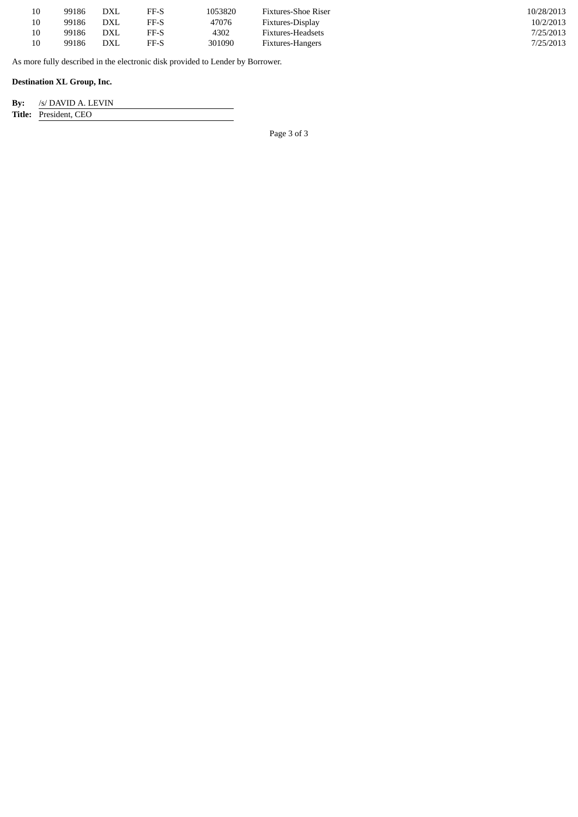| 10 | 99186 | DXL        | FF-S | 1053820 | Fixtures-Shoe Riser | 10/28/2013 |
|----|-------|------------|------|---------|---------------------|------------|
| 10 | 99186 | DXL        | FF-S | 47076   | Fixtures-Display    | 10/2/2013  |
| 10 | 99186 | DXL        | FF-S | 4302    | Fixtures-Headsets   | 7/25/2013  |
| 10 | 99186 | <b>DXL</b> | FF-S | 301090  | Fixtures-Hangers    | 7/25/2013  |

As more fully described in the electronic disk provided to Lender by Borrower.

### **Destination XL Group, Inc.**

| $\mathbf{By:}$ | /s/ DAVID A. LEVIN           |
|----------------|------------------------------|
|                | <b>Title:</b> President, CEO |

Page 3 of 3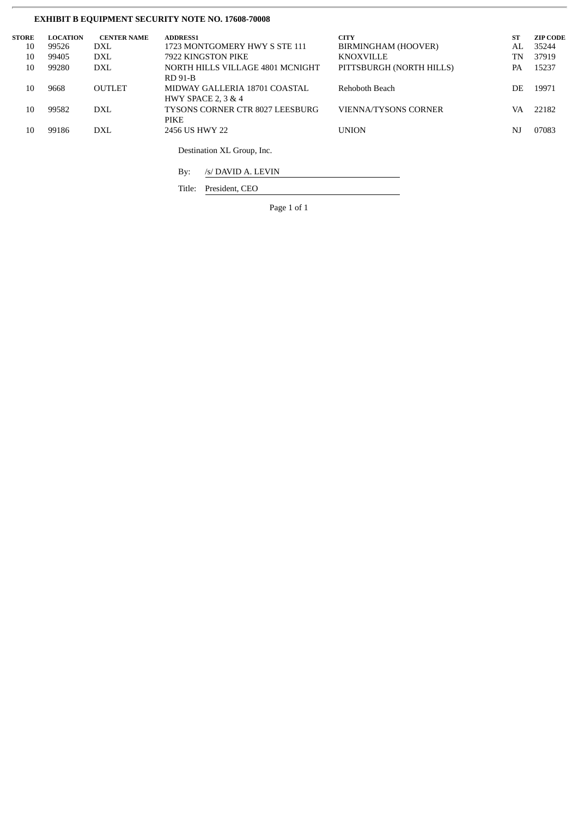# **EXHIBIT B EQUIPMENT SECURITY NOTE NO. 17608-70008**

| <b>STORE</b> | <b>LOCATION</b> | <b>CENTER NAME</b> | <b>ADDRESS1</b>                  | <b>CITY</b>                 | <b>ST</b> | <b>ZIP CODE</b> |
|--------------|-----------------|--------------------|----------------------------------|-----------------------------|-----------|-----------------|
| 10           | 99526           | <b>DXL</b>         | 1723 MONTGOMERY HWY S STE 111    | BIRMINGHAM (HOOVER)         | AL        | 35244           |
| 10           | 99405           | <b>DXL</b>         | 7922 KINGSTON PIKE               | <b>KNOXVILLE</b>            | TN        | 37919           |
| 10           | 99280           | DXL                | NORTH HILLS VILLAGE 4801 MCNIGHT | PITTSBURGH (NORTH HILLS)    | PA        | 15237           |
|              |                 |                    | <b>RD 91-B</b>                   |                             |           |                 |
| 10           | 9668            | <b>OUTLET</b>      | MIDWAY GALLERIA 18701 COASTAL    | Rehoboth Beach              | DE        | 19971           |
|              |                 |                    | <b>HWY SPACE 2, 3 &amp; 4</b>    |                             |           |                 |
| 10           | 99582           | <b>DXL</b>         | TYSONS CORNER CTR 8027 LEESBURG  | <b>VIENNA/TYSONS CORNER</b> | VA        | 22182           |
|              |                 |                    | <b>PIKE</b>                      |                             |           |                 |
| 10           | 99186           | <b>DXL</b>         | 2456 US HWY 22                   | <b>UNION</b>                | NJ        | 07083           |
|              |                 |                    |                                  |                             |           |                 |
|              |                 |                    | Destination XL Group, Inc.       |                             |           |                 |
|              |                 |                    |                                  |                             |           |                 |

By: /s/ DAVID A. LEVIN

Title: President, CEO

Page 1 of 1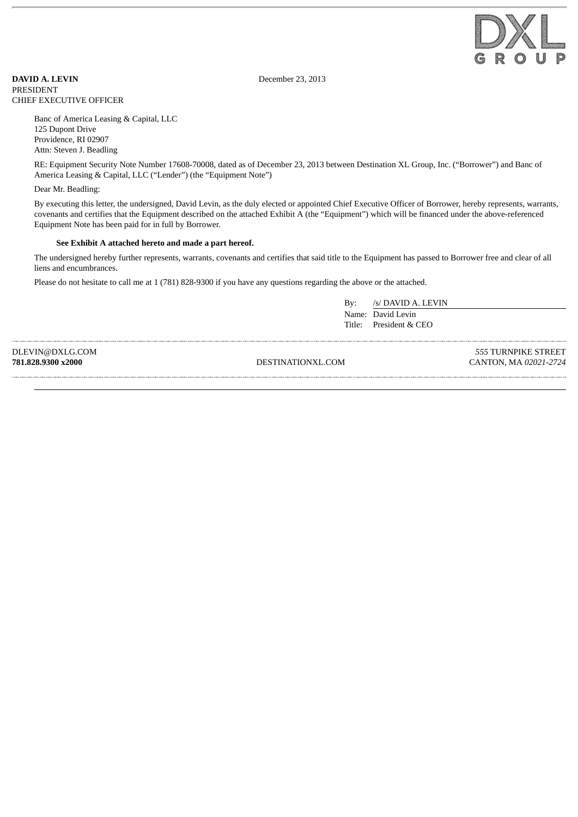

**DAVID A. LEVIN** December 23, 2013 PRESIDENT CHIEF EXECUTIVE OFFICER

Banc of America Leasing & Capital, LLC 125 Dupont Drive Providence, RI 02907 Attn: Steven J. Beadling

RE: Equipment Security Note Number 17608-70008, dated as of December 23, 2013 between Destination XL Group, Inc. ("Borrower") and Banc of America Leasing & Capital, LLC ("Lender") (the "Equipment Note")

Dear Mr. Beadling:

By executing this letter, the undersigned, David Levin, as the duly elected or appointed Chief Executive Officer of Borrower, hereby represents, warrants, covenants and certifies that the Equipment described on the attached Exhibit A (the "Equipment") which will be financed under the above-referenced Equipment Note has been paid for in full by Borrower.

### **See Exhibit A attached hereto and made a part hereof.**

The undersigned hereby further represents, warrants, covenants and certifies that said title to the Equipment has passed to Borrower free and clear of all liens and encumbrances.

Please do not hesitate to call me at 1 (781) 828-9300 if you have any questions regarding the above or the attached.

By: /s/ DAVID A. LEVIN Name: David Levin Title: President & CEO

DLEVIN@DXLG.COM **781.828.9300 x2000**

DESTINATIONXL.COM

*555* TURNPIKE STREET CANTON, MA *02021-2724*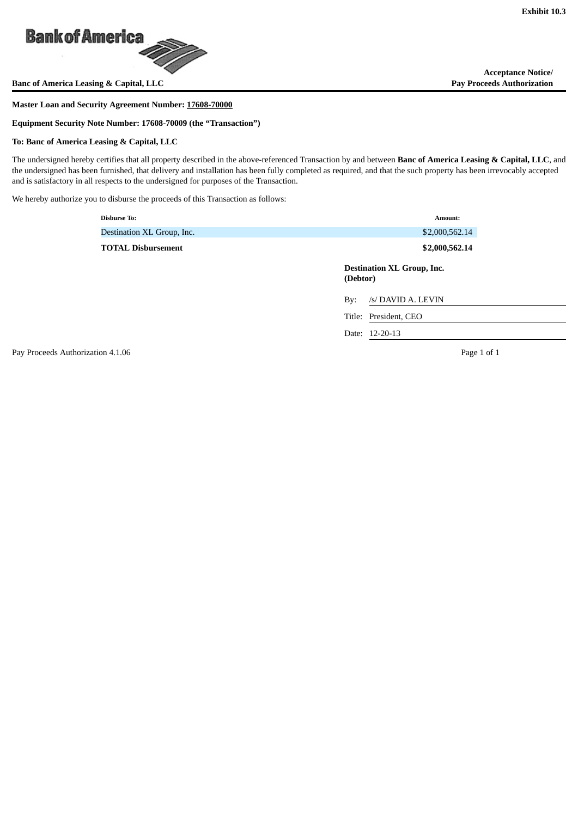

**Banc of America Leasing & Capital, LLC** 

### **Master Loan and Security Agreement Number: 17608-70000**

**Equipment Security Note Number: 17608-70009 (the "Transaction")**

### **To: Banc of America Leasing & Capital, LLC**

The undersigned hereby certifies that all property described in the above-referenced Transaction by and between **Banc of America Leasing & Capital, LLC**, and the undersigned has been furnished, that delivery and installation has been fully completed as required, and that the such property has been irrevocably accepted and is satisfactory in all respects to the undersigned for purposes of the Transaction.

We hereby authorize you to disburse the proceeds of this Transaction as follows:

| <b>Disburse To:</b>        | Amount:                                       |
|----------------------------|-----------------------------------------------|
| Destination XL Group, Inc. | \$2,000,562.14                                |
| <b>TOTAL Disbursement</b>  | \$2,000,562.14                                |
|                            | <b>Destination XL Group, Inc.</b><br>(Debtor) |
|                            | /s/ DAVID A. LEVIN<br>By:                     |
|                            | Title: President, CEO                         |
|                            | Date: 12-20-13                                |

Pay Proceeds Authorization 4.1.06 **Page 1 of 1** Page 1 of 1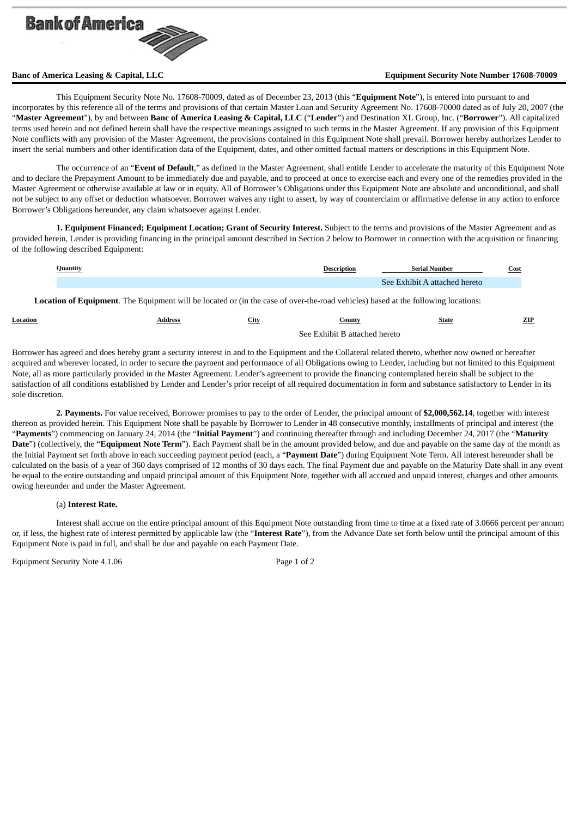

### **Banc of America Leasing & Capital, LLC Equipment Security Note Number 17608-70009**

This Equipment Security Note No. 17608-70009, dated as of December 23, 2013 (this "**Equipment Note**"), is entered into pursuant to and incorporates by this reference all of the terms and provisions of that certain Master Loan and Security Agreement No. 17608-70000 dated as of July 20, 2007 (the "**Master Agreement**"), by and between **Banc of America Leasing & Capital, LLC** ("**Lender**") and Destination XL Group, Inc. ("**Borrower**"). All capitalized terms used herein and not defined herein shall have the respective meanings assigned to such terms in the Master Agreement. If any provision of this Equipment Note conflicts with any provision of the Master Agreement, the provisions contained in this Equipment Note shall prevail. Borrower hereby authorizes Lender to insert the serial numbers and other identification data of the Equipment, dates, and other omitted factual matters or descriptions in this Equipment Note.

The occurrence of an "**Event of Default**," as defined in the Master Agreement, shall entitle Lender to accelerate the maturity of this Equipment Note and to declare the Prepayment Amount to be immediately due and payable, and to proceed at once to exercise each and every one of the remedies provided in the Master Agreement or otherwise available at law or in equity. All of Borrower's Obligations under this Equipment Note are absolute and unconditional, and shall not be subject to any offset or deduction whatsoever. Borrower waives any right to assert, by way of counterclaim or affirmative defense in any action to enforce Borrower's Obligations hereunder, any claim whatsoever against Lender.

**1. Equipment Financed; Equipment Location; Grant of Security Interest.** Subject to the terms and provisions of the Master Agreement and as provided herein, Lender is providing financing in the principal amount described in Section 2 below to Borrower in connection with the acquisition or financing of the following described Equipment:

| Quantity | <b>Description</b> | - Serial Number               | <b>Cost</b> |
|----------|--------------------|-------------------------------|-------------|
|          |                    | See Exhibit A attached hereto |             |

**Location of Equipment**. The Equipment will be located or (in the case of over-the-road vehicles) based at the following locations:

| Location | Address | City                          | ountyات | State | ZIP |
|----------|---------|-------------------------------|---------|-------|-----|
|          |         | See Exhibit B attached hereto |         |       |     |

Borrower has agreed and does hereby grant a security interest in and to the Equipment and the Collateral related thereto, whether now owned or hereafter acquired and wherever located, in order to secure the payment and performance of all Obligations owing to Lender, including but not limited to this Equipment Note, all as more particularly provided in the Master Agreement. Lender's agreement to provide the financing contemplated herein shall be subject to the satisfaction of all conditions established by Lender and Lender's prior receipt of all required documentation in form and substance satisfactory to Lender in its sole discretion.

**2. Payments.** For value received, Borrower promises to pay to the order of Lender, the principal amount of **\$2,000,562.14**, together with interest thereon as provided herein. This Equipment Note shall be payable by Borrower to Lender in 48 consecutive monthly, installments of principal and interest (the "**Payments**") commencing on January 24, 2014 (the "**Initial Payment**") and continuing thereafter through and including December 24, 2017 (the "**Maturity Date**") (collectively, the "**Equipment Note Term**"). Each Payment shall be in the amount provided below, and due and payable on the same day of the month as the Initial Payment set forth above in each succeeding payment period (each, a "**Payment Date**") during Equipment Note Term. All interest hereunder shall be calculated on the basis of a year of 360 days comprised of 12 months of 30 days each. The final Payment due and payable on the Maturity Date shall in any event be equal to the entire outstanding and unpaid principal amount of this Equipment Note, together with all accrued and unpaid interest, charges and other amounts owing hereunder and under the Master Agreement.

### (a) **Interest Rate.**

Interest shall accrue on the entire principal amount of this Equipment Note outstanding from time to time at a fixed rate of 3.0666 percent per annum or, if less, the highest rate of interest permitted by applicable law (the "**Interest Rate**"), from the Advance Date set forth below until the principal amount of this Equipment Note is paid in full, and shall be due and payable on each Payment Date.

Equipment Security Note 4.1.06 Page 1 of 2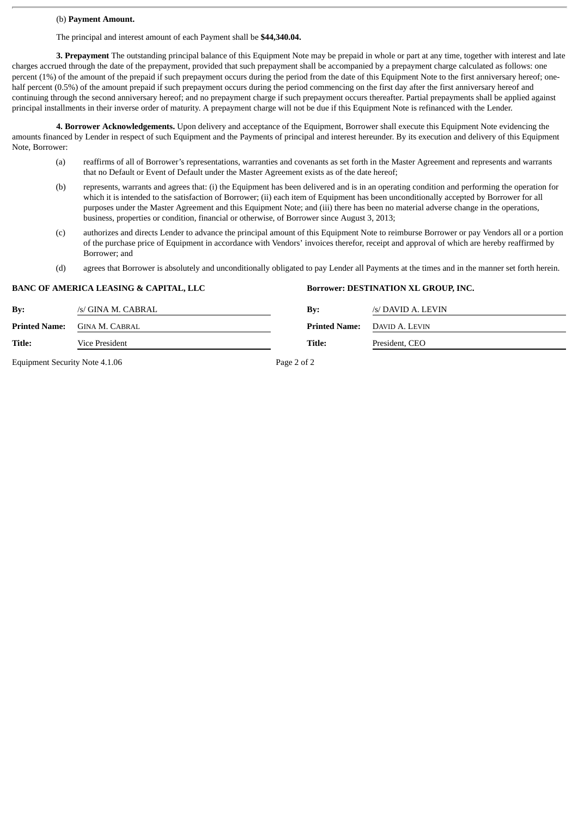### (b) **Payment Amount.**

The principal and interest amount of each Payment shall be **\$44,340.04.**

**3. Prepayment** The outstanding principal balance of this Equipment Note may be prepaid in whole or part at any time, together with interest and late charges accrued through the date of the prepayment, provided that such prepayment shall be accompanied by a prepayment charge calculated as follows: one percent (1%) of the amount of the prepaid if such prepayment occurs during the period from the date of this Equipment Note to the first anniversary hereof; onehalf percent (0.5%) of the amount prepaid if such prepayment occurs during the period commencing on the first day after the first anniversary hereof and continuing through the second anniversary hereof; and no prepayment charge if such prepayment occurs thereafter. Partial prepayments shall be applied against principal installments in their inverse order of maturity. A prepayment charge will not be due if this Equipment Note is refinanced with the Lender.

**4. Borrower Acknowledgements.** Upon delivery and acceptance of the Equipment, Borrower shall execute this Equipment Note evidencing the amounts financed by Lender in respect of such Equipment and the Payments of principal and interest hereunder. By its execution and delivery of this Equipment Note, Borrower:

- (a) reaffirms of all of Borrower's representations, warranties and covenants as set forth in the Master Agreement and represents and warrants that no Default or Event of Default under the Master Agreement exists as of the date hereof;
- (b) represents, warrants and agrees that: (i) the Equipment has been delivered and is in an operating condition and performing the operation for which it is intended to the satisfaction of Borrower; (ii) each item of Equipment has been unconditionally accepted by Borrower for all purposes under the Master Agreement and this Equipment Note; and (iii) there has been no material adverse change in the operations, business, properties or condition, financial or otherwise, of Borrower since August 3, 2013;
- (c) authorizes and directs Lender to advance the principal amount of this Equipment Note to reimburse Borrower or pay Vendors all or a portion of the purchase price of Equipment in accordance with Vendors' invoices therefor, receipt and approval of which are hereby reaffirmed by Borrower; and
- (d) agrees that Borrower is absolutely and unconditionally obligated to pay Lender all Payments at the times and in the manner set forth herein.

|               | <i><b>DI RICO 1 INILIALOI I DEI IOHIO &amp; OI II I III IEI, EEU</b></i> |                           | bottower, DEOTHWATION ALL GROUP, HAO. |
|---------------|--------------------------------------------------------------------------|---------------------------|---------------------------------------|
| By:           | /s/ GINA M. CABRAL                                                       | $\mathbf{B} \mathbf{v}$ : | /s/ DAVID A. LEVIN                    |
| Printed Name: | <b>GINA M. CABRAL</b>                                                    | <b>Printed Name:</b>      | DAVID A. LEVIN                        |
| Title:        | Vice President                                                           | Title:                    | President, CEO                        |
|               |                                                                          |                           |                                       |

**BANC OF AMERICA LEASING & CAPITAL, LLC Borrower: DESTINATION XL GROUP, INC.**

Equipment Security Note 4.1.06 Page 2 of 2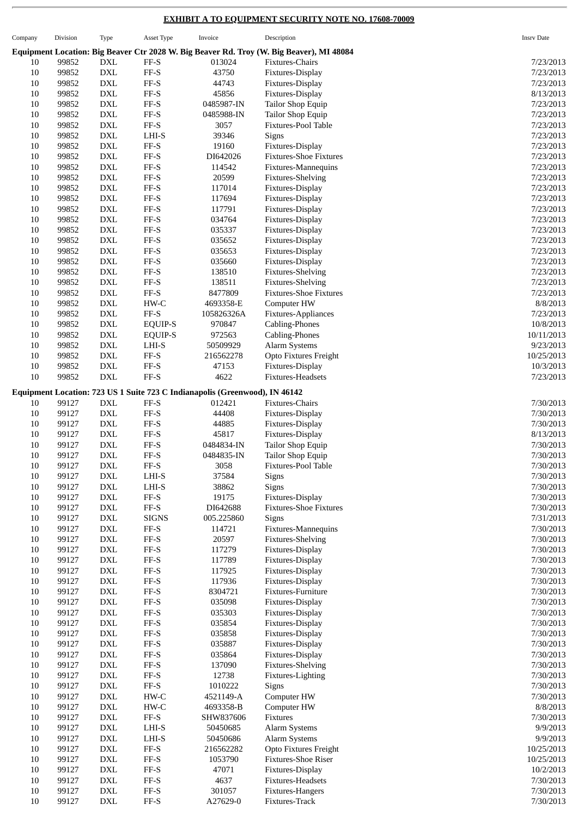# **EXHIBIT A TO EQUIPMENT SECURITY NOTE NO. 17608-70009**

| Company | Division | Type                        | Asset Type                   | Invoice                                                                     | Description                                                                              | <b>Insrv Date</b> |
|---------|----------|-----------------------------|------------------------------|-----------------------------------------------------------------------------|------------------------------------------------------------------------------------------|-------------------|
|         |          |                             |                              |                                                                             | Equipment Location: Big Beaver Ctr 2028 W. Big Beaver Rd. Troy (W. Big Beaver), MI 48084 |                   |
| 10      | 99852    | DXL                         | FF-S                         | 013024                                                                      | Fixtures-Chairs                                                                          | 7/23/2013         |
|         |          |                             |                              |                                                                             |                                                                                          |                   |
| $10\,$  | 99852    | <b>DXL</b>                  | $\rm FF\text{-}S$            | 43750                                                                       | Fixtures-Display                                                                         | 7/23/2013         |
| 10      | 99852    | <b>DXL</b>                  | FF-S                         | 44743                                                                       | Fixtures-Display                                                                         | 7/23/2013         |
| 10      | 99852    | <b>DXL</b>                  | $\rm FF\text{-}S$            | 45856                                                                       | Fixtures-Display                                                                         | 8/13/2013         |
| 10      | 99852    | <b>DXL</b>                  | $\ensuremath{\mathsf{FF-S}}$ | 0485987-IN                                                                  | Tailor Shop Equip                                                                        | 7/23/2013         |
| 10      | 99852    | <b>DXL</b>                  | $\ensuremath{\mathsf{FF-S}}$ | 0485988-IN                                                                  | Tailor Shop Equip                                                                        | 7/23/2013         |
| 10      | 99852    | <b>DXL</b>                  | $\rm FF\text{-}S$            | 3057                                                                        | Fixtures-Pool Table                                                                      | 7/23/2013         |
|         |          |                             |                              |                                                                             |                                                                                          |                   |
| 10      | 99852    | <b>DXL</b>                  | LHI-S                        | 39346                                                                       | Signs                                                                                    | 7/23/2013         |
| 10      | 99852    | <b>DXL</b>                  | $\ensuremath{\mathsf{FF-S}}$ | 19160                                                                       | Fixtures-Display                                                                         | 7/23/2013         |
| 10      | 99852    | <b>DXL</b>                  | $\ensuremath{\mathsf{FF-S}}$ | DI642026                                                                    | <b>Fixtures-Shoe Fixtures</b>                                                            | 7/23/2013         |
| 10      | 99852    | <b>DXL</b>                  | $\ensuremath{\mathsf{FF-S}}$ | 114542                                                                      | Fixtures-Mannequins                                                                      | 7/23/2013         |
| 10      | 99852    | <b>DXL</b>                  | $\rm FF\text{-}S$            | 20599                                                                       | <b>Fixtures-Shelving</b>                                                                 | 7/23/2013         |
| 10      | 99852    | <b>DXL</b>                  | FF-S                         | 117014                                                                      | Fixtures-Display                                                                         | 7/23/2013         |
|         |          |                             |                              |                                                                             |                                                                                          |                   |
| 10      | 99852    | <b>DXL</b>                  | $\ensuremath{\mathsf{FF-S}}$ | 117694                                                                      | Fixtures-Display                                                                         | 7/23/2013         |
| 10      | 99852    | <b>DXL</b>                  | $\ensuremath{\mathsf{FF-S}}$ | 117791                                                                      | Fixtures-Display                                                                         | 7/23/2013         |
| 10      | 99852    | <b>DXL</b>                  | $\ensuremath{\mathsf{FF-S}}$ | 034764                                                                      | Fixtures-Display                                                                         | 7/23/2013         |
| 10      | 99852    | <b>DXL</b>                  | $\rm FF\text{-}S$            | 035337                                                                      | Fixtures-Display                                                                         | 7/23/2013         |
| 10      | 99852    | <b>DXL</b>                  | FF-S                         | 035652                                                                      | Fixtures-Display                                                                         | 7/23/2013         |
| 10      | 99852    | <b>DXL</b>                  | $\ensuremath{\mathsf{FF-S}}$ | 035653                                                                      | Fixtures-Display                                                                         | 7/23/2013         |
| 10      | 99852    | <b>DXL</b>                  | $\ensuremath{\mathsf{FF-S}}$ | 035660                                                                      | Fixtures-Display                                                                         | 7/23/2013         |
|         |          |                             |                              |                                                                             |                                                                                          |                   |
| 10      | 99852    | <b>DXL</b>                  | $\ensuremath{\mathsf{FF-S}}$ | 138510                                                                      | Fixtures-Shelving                                                                        | 7/23/2013         |
| 10      | 99852    | <b>DXL</b>                  | $\ensuremath{\mathsf{FF-S}}$ | 138511                                                                      | Fixtures-Shelving                                                                        | 7/23/2013         |
| 10      | 99852    | <b>DXL</b>                  | FF-S                         | 8477809                                                                     | <b>Fixtures-Shoe Fixtures</b>                                                            | 7/23/2013         |
| 10      | 99852    | <b>DXL</b>                  | $HW-C$                       | 4693358-E                                                                   | Computer HW                                                                              | 8/8/2013          |
| 10      | 99852    | <b>DXL</b>                  | $FF-S$                       | 105826326A                                                                  | Fixtures-Appliances                                                                      | 7/23/2013         |
| 10      | 99852    | <b>DXL</b>                  | EQUIP-S                      | 970847                                                                      | Cabling-Phones                                                                           | 10/8/2013         |
|         |          |                             |                              |                                                                             |                                                                                          |                   |
| 10      | 99852    | <b>DXL</b>                  | EQUIP-S                      | 972563                                                                      | Cabling-Phones                                                                           | 10/11/2013        |
| 10      | 99852    | <b>DXL</b>                  | LHI-S                        | 50509929                                                                    | Alarm Systems                                                                            | 9/23/2013         |
| 10      | 99852    | $\mathop{\rm DXL}\nolimits$ | FF-S                         | 216562278                                                                   | Opto Fixtures Freight                                                                    | 10/25/2013        |
| $10\,$  | 99852    | ${\rm DXL}$                 | $\ensuremath{\mathsf{FF-S}}$ | 47153                                                                       | Fixtures-Display                                                                         | 10/3/2013         |
| 10      | 99852    | <b>DXL</b>                  | $\ensuremath{\mathsf{FF-S}}$ | 4622                                                                        | Fixtures-Headsets                                                                        | 7/23/2013         |
|         |          |                             |                              |                                                                             |                                                                                          |                   |
|         |          |                             |                              | Equipment Location: 723 US 1 Suite 723 C Indianapolis (Greenwood), IN 46142 |                                                                                          |                   |
| 10      | 99127    | <b>DXL</b>                  | FF-S                         | 012421                                                                      | Fixtures-Chairs                                                                          | 7/30/2013         |
| 10      | 99127    | <b>DXL</b>                  | $\rm FF\text{-}S$            | 44408                                                                       | Fixtures-Display                                                                         | 7/30/2013         |
| 10      | 99127    | <b>DXL</b>                  | FF-S                         | 44885                                                                       | Fixtures-Display                                                                         | 7/30/2013         |
| 10      | 99127    | <b>DXL</b>                  | $\ensuremath{\mathsf{FF-S}}$ | 45817                                                                       | Fixtures-Display                                                                         | 8/13/2013         |
|         |          |                             |                              |                                                                             |                                                                                          |                   |
| 10      | 99127    | <b>DXL</b>                  | $\ensuremath{\mathsf{FF-S}}$ | 0484834-IN                                                                  | Tailor Shop Equip                                                                        | 7/30/2013         |
| $10\,$  | 99127    | <b>DXL</b>                  | FF-S                         | 0484835-IN                                                                  | Tailor Shop Equip                                                                        | 7/30/2013         |
| 10      | 99127    | <b>DXL</b>                  | FF-S                         | 3058                                                                        | Fixtures-Pool Table                                                                      | 7/30/2013         |
| 10      | 99127    | <b>DXL</b>                  | $_{\rm LHI-S}$               | 37584                                                                       | Signs                                                                                    | 7/30/2013         |
| $10\,$  | 99127    | $\mathop{\rm DXL}\nolimits$ | $LHI-S$                      | 38862                                                                       | Signs                                                                                    | 7/30/2013         |
| 10      | 99127    | $\mathop{\rm DXL}\nolimits$ | $\rm FF\text{-}S$            | 19175                                                                       | Fixtures-Display                                                                         | 7/30/2013         |
|         |          |                             | $\rm FF\text{-}S$            |                                                                             | <b>Fixtures-Shoe Fixtures</b>                                                            |                   |
| 10      | 99127    | <b>DXL</b>                  |                              | DI642688                                                                    |                                                                                          | 7/30/2013         |
| $10\,$  | 99127    | <b>DXL</b>                  | <b>SIGNS</b>                 | 005.225860                                                                  | Signs                                                                                    | 7/31/2013         |
| 10      | 99127    | <b>DXL</b>                  | $\ensuremath{\mathsf{FF-S}}$ | 114721                                                                      | Fixtures-Mannequins                                                                      | 7/30/2013         |
| 10      | 99127    | ${\rm DXL}$                 | $\ensuremath{\mathsf{FF-S}}$ | 20597                                                                       | <b>Fixtures-Shelving</b>                                                                 | 7/30/2013         |
| 10      | 99127    | ${\rm DXL}$                 | $\ensuremath{\mathsf{FF-S}}$ | 117279                                                                      | Fixtures-Display                                                                         | 7/30/2013         |
| 10      | 99127    | <b>DXL</b>                  | FF-S                         | 117789                                                                      | Fixtures-Display                                                                         | 7/30/2013         |
| $10\,$  | 99127    | <b>DXL</b>                  | $\rm FF\text{-}S$            |                                                                             |                                                                                          | 7/30/2013         |
|         |          |                             |                              | 117925                                                                      | Fixtures-Display                                                                         |                   |
| 10      | 99127    | ${\rm DXL}$                 | $\ensuremath{\mathsf{FF-S}}$ | 117936                                                                      | Fixtures-Display                                                                         | 7/30/2013         |
| 10      | 99127    | ${\rm DXL}$                 | $\ensuremath{\mathsf{FF-S}}$ | 8304721                                                                     | Fixtures-Furniture                                                                       | 7/30/2013         |
| 10      | 99127    | ${\rm DXL}$                 | $\rm FF\text{-}S$            | 035098                                                                      | Fixtures-Display                                                                         | 7/30/2013         |
| 10      | 99127    | <b>DXL</b>                  | $\rm FF\text{-}S$            | 035303                                                                      | Fixtures-Display                                                                         | 7/30/2013         |
| $10\,$  | 99127    | <b>DXL</b>                  | $\rm FF\text{-}S$            | 035854                                                                      | Fixtures-Display                                                                         | 7/30/2013         |
| 10      | 99127    | <b>DXL</b>                  | $\ensuremath{\mathsf{FF-S}}$ | 035858                                                                      | Fixtures-Display                                                                         | 7/30/2013         |
|         |          |                             |                              |                                                                             |                                                                                          |                   |
| 10      | 99127    | <b>DXL</b>                  | $\ensuremath{\mathsf{FF-S}}$ | 035887                                                                      | Fixtures-Display                                                                         | 7/30/2013         |
| 10      | 99127    | ${\rm DXL}$                 | $\rm FF\text{-}S$            | 035864                                                                      | Fixtures-Display                                                                         | 7/30/2013         |
| 10      | 99127    | <b>DXL</b>                  | FF-S                         | 137090                                                                      | <b>Fixtures-Shelving</b>                                                                 | 7/30/2013         |
| 10      | 99127    | <b>DXL</b>                  | $\rm FF\text{-}S$            | 12738                                                                       | Fixtures-Lighting                                                                        | 7/30/2013         |
| 10      | 99127    | ${\rm DXL}$                 | $\rm FF\text{-}S$            | 1010222                                                                     | Signs                                                                                    | 7/30/2013         |
| 10      | 99127    | <b>DXL</b>                  | $HW-C$                       | 4521149-A                                                                   | Computer HW                                                                              | 7/30/2013         |
|         |          |                             |                              |                                                                             |                                                                                          |                   |
| 10      | 99127    | <b>DXL</b>                  | ${\rm HW}\text{-}{\rm C}$    | 4693358-B                                                                   | Computer HW                                                                              | 8/8/2013          |
| 10      | 99127    | <b>DXL</b>                  | $_{\rm FF-S}$                | SHW837606                                                                   | Fixtures                                                                                 | 7/30/2013         |
| 10      | 99127    | <b>DXL</b>                  | $LHI-S$                      | 50450685                                                                    | Alarm Systems                                                                            | 9/9/2013          |
| 10      | 99127    | <b>DXL</b>                  | $_{\rm LHI-S}$               | 50450686                                                                    | Alarm Systems                                                                            | 9/9/2013          |
| 10      | 99127    | <b>DXL</b>                  | $\ensuremath{\mathsf{FF-S}}$ | 216562282                                                                   | Opto Fixtures Freight                                                                    | 10/25/2013        |
| $10\,$  | 99127    | <b>DXL</b>                  | $\rm FF\text{-}S$            | 1053790                                                                     | Fixtures-Shoe Riser                                                                      | 10/25/2013        |
| 10      | 99127    | <b>DXL</b>                  | FF-S                         | 47071                                                                       | Fixtures-Display                                                                         | 10/2/2013         |
|         |          |                             |                              |                                                                             |                                                                                          |                   |
| 10      | 99127    | <b>DXL</b>                  | $\rm FF\text{-}S$            | 4637                                                                        | Fixtures-Headsets                                                                        | 7/30/2013         |
| 10      | 99127    | ${\rm DXL}$                 | $\ensuremath{\mathsf{FF-S}}$ | 301057                                                                      | Fixtures-Hangers                                                                         | 7/30/2013         |
| 10      | 99127    | ${\rm DXL}$                 | $\rm FF\text{-}S$            | A27629-0                                                                    | Fixtures-Track                                                                           | 7/30/2013         |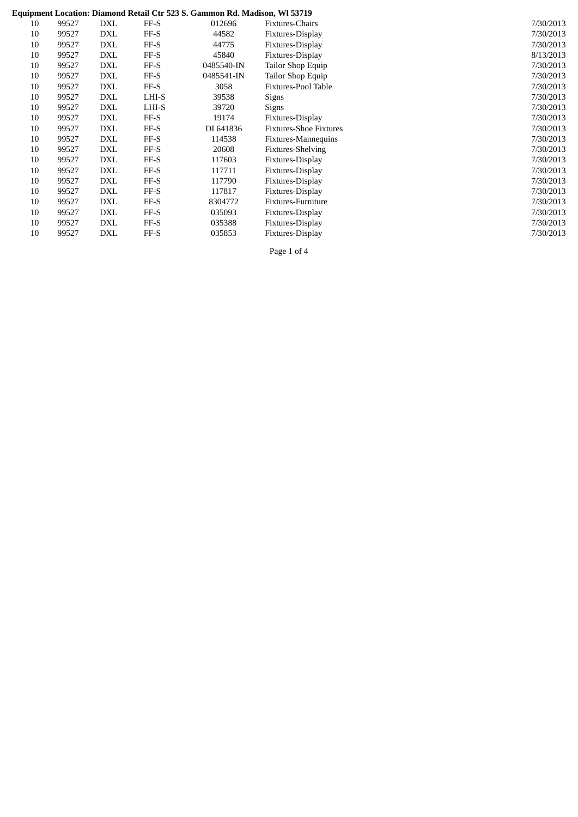# **Equipment Location: Diamond Retail Ctr 523 S. Gammon Rd. Madison, Wl 53719**

|    |       |            |        | Equipment Location; Diamond Retail Ctr 325 5. Gammon Ru. Mauison, Wi 33719 |                               |           |
|----|-------|------------|--------|----------------------------------------------------------------------------|-------------------------------|-----------|
| 10 | 99527 | DXL        | $FF-S$ | 012696                                                                     | Fixtures-Chairs               | 7/30/2013 |
| 10 | 99527 | <b>DXL</b> | $FF-S$ | 44582                                                                      | Fixtures-Display              | 7/30/2013 |
| 10 | 99527 | DXL        | $FF-S$ | 44775                                                                      | Fixtures-Display              | 7/30/2013 |
| 10 | 99527 | <b>DXL</b> | $FF-S$ | 45840                                                                      | Fixtures-Display              | 8/13/2013 |
| 10 | 99527 | DXL        | $FF-S$ | 0485540-IN                                                                 | Tailor Shop Equip             | 7/30/2013 |
| 10 | 99527 | DXL        | $FF-S$ | 0485541-IN                                                                 | Tailor Shop Equip             | 7/30/2013 |
| 10 | 99527 | <b>DXL</b> | $FF-S$ | 3058                                                                       | Fixtures-Pool Table           | 7/30/2013 |
| 10 | 99527 | <b>DXL</b> | LHI-S  | 39538                                                                      | Signs                         | 7/30/2013 |
| 10 | 99527 | <b>DXL</b> | LHI-S  | 39720                                                                      | Signs                         | 7/30/2013 |
| 10 | 99527 | DXL        | FF-S   | 19174                                                                      | Fixtures-Display              | 7/30/2013 |
| 10 | 99527 | DXL        | $FF-S$ | DI 641836                                                                  | <b>Fixtures-Shoe Fixtures</b> | 7/30/2013 |
| 10 | 99527 | DXL        | FF-S   | 114538                                                                     | <b>Fixtures-Mannequins</b>    | 7/30/2013 |
| 10 | 99527 | DXL        | $FF-S$ | 20608                                                                      | <b>Fixtures-Shelving</b>      | 7/30/2013 |
| 10 | 99527 | DXL        | FF-S   | 117603                                                                     | Fixtures-Display              | 7/30/2013 |
| 10 | 99527 | <b>DXL</b> | FF-S   | 117711                                                                     | Fixtures-Display              | 7/30/2013 |
| 10 | 99527 | DXL        | $FF-S$ | 117790                                                                     | Fixtures-Display              | 7/30/2013 |
| 10 | 99527 | DXL        | FF-S   | 117817                                                                     | Fixtures-Display              | 7/30/2013 |
| 10 | 99527 | DXL        | $FF-S$ | 8304772                                                                    | Fixtures-Furniture            | 7/30/2013 |
| 10 | 99527 | <b>DXL</b> | $FF-S$ | 035093                                                                     | Fixtures-Display              | 7/30/2013 |
| 10 | 99527 | DXL        | FF-S   | 035388                                                                     | Fixtures-Display              | 7/30/2013 |
| 10 | 99527 | <b>DXL</b> | FF-S   | 035853                                                                     | Fixtures-Display              | 7/30/2013 |

Page 1 of 4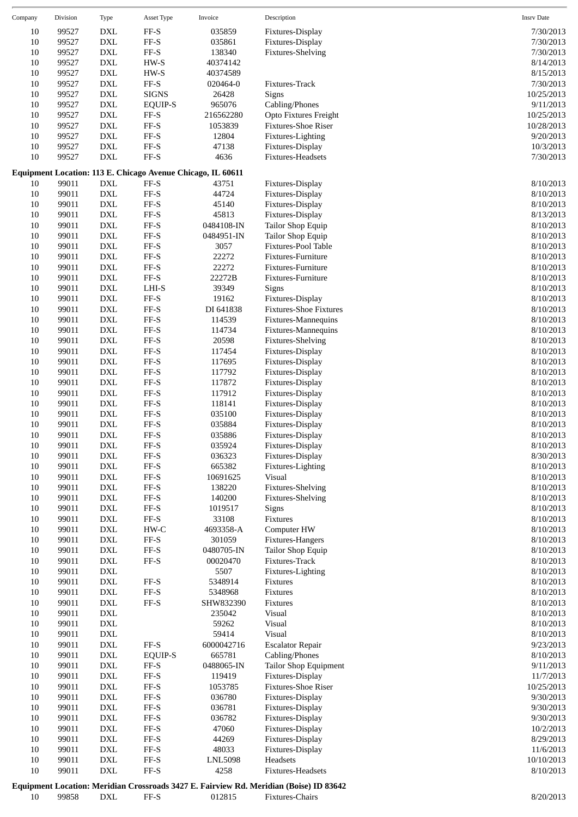| Company | Division | Type                        | Asset Type                   | Invoice                                                              | Description                          | <b>Insrv Date</b> |
|---------|----------|-----------------------------|------------------------------|----------------------------------------------------------------------|--------------------------------------|-------------------|
| 10      | 99527    | DXL                         | FF-S                         | 035859                                                               | Fixtures-Display                     | 7/30/2013         |
| 10      | 99527    | ${\rm DXL}$                 | $\ensuremath{\mathsf{FF-S}}$ | 035861                                                               | Fixtures-Display                     | 7/30/2013         |
| 10      | 99527    | $\mathop{\rm DXL}\nolimits$ | FF-S                         | 138340                                                               | <b>Fixtures-Shelving</b>             | 7/30/2013         |
| 10      | 99527    | $\mathop{\rm DXL}\nolimits$ | $HW-S$                       | 40374142                                                             |                                      | 8/14/2013         |
| 10      | 99527    | ${\rm DXL}$                 | HW-S                         | 40374589                                                             |                                      | 8/15/2013         |
| 10      | 99527    | $\mathop{\rm DXL}\nolimits$ | FF-S                         | 020464-0                                                             | Fixtures-Track                       | 7/30/2013         |
| 10      | 99527    | $\mathop{\rm DXL}\nolimits$ | <b>SIGNS</b>                 | 26428                                                                | Signs                                | 10/25/2013        |
| 10      | 99527    | $\mathop{\rm DXL}\nolimits$ | <b>EQUIP-S</b>               | 965076                                                               | Cabling/Phones                       | 9/11/2013         |
| 10      | 99527    | $\mathop{\rm DXL}\nolimits$ | FF-S                         | 216562280                                                            | Opto Fixtures Freight                | 10/25/2013        |
| 10      | 99527    | $\mathop{\rm DXL}\nolimits$ | $\rm FF\text{-}S$            | 1053839                                                              | Fixtures-Shoe Riser                  | 10/28/2013        |
| 10      | 99527    | ${\rm DXL}$                 | $\rm FF\text{-}S$            | 12804                                                                | Fixtures-Lighting                    | 9/20/2013         |
| 10      | 99527    | ${\rm DXL}$                 | $\rm FF\text{-}S$            | 47138                                                                | Fixtures-Display                     | 10/3/2013         |
| 10      | 99527    | ${\rm DXL}$                 | FF-S                         | 4636                                                                 | Fixtures-Headsets                    | 7/30/2013         |
| 10      | 99011    | DXL                         | FF-S                         | Equipment Location: 113 E. Chicago Avenue Chicago, IL 60611<br>43751 |                                      | 8/10/2013         |
| 10      | 99011    | ${\rm DXL}$                 | FF-S                         | 44724                                                                | Fixtures-Display<br>Fixtures-Display | 8/10/2013         |
| 10      | 99011    | ${\rm DXL}$                 | FF-S                         | 45140                                                                | Fixtures-Display                     | 8/10/2013         |
| 10      | 99011    | $\mathop{\rm DXL}\nolimits$ | FF-S                         | 45813                                                                | Fixtures-Display                     | 8/13/2013         |
| 10      | 99011    | $\mathop{\rm DXL}\nolimits$ | $\rm FF\text{-}S$            | 0484108-IN                                                           | Tailor Shop Equip                    | 8/10/2013         |
| 10      | 99011    | $\mathop{\rm DXL}\nolimits$ | $\rm FF\text{-}S$            | 0484951-IN                                                           | Tailor Shop Equip                    | 8/10/2013         |
| 10      | 99011    | $\mathop{\rm DXL}\nolimits$ | FF-S                         | 3057                                                                 | Fixtures-Pool Table                  | 8/10/2013         |
| 10      | 99011    | ${\rm DXL}$                 | FF-S                         | 22272                                                                | Fixtures-Furniture                   | 8/10/2013         |
| 10      | 99011    | ${\rm DXL}$                 | $\rm FF\text{-}S$            | 22272                                                                | Fixtures-Furniture                   | 8/10/2013         |
| $10\,$  | 99011    | $\mathop{\rm DXL}\nolimits$ | $\rm FF\text{-}S$            | 22272B                                                               | Fixtures-Furniture                   | 8/10/2013         |
| 10      | 99011    | $\mathop{\rm DXL}\nolimits$ | $LHI-S$                      | 39349                                                                | Signs                                | 8/10/2013         |
| 10      | 99011    | $\mathop{\rm DXL}\nolimits$ | $\rm FF\text{-}S$            | 19162                                                                | Fixtures-Display                     | 8/10/2013         |
| 10      | 99011    | ${\rm DXL}$                 | $\rm FF\text{-}S$            | DI 641838                                                            | <b>Fixtures-Shoe Fixtures</b>        | 8/10/2013         |
| 10      | 99011    | $\mathop{\rm DXL}\nolimits$ | $\rm FF\text{-}S$            | 114539                                                               | Fixtures-Mannequins                  | 8/10/2013         |
| $10\,$  | 99011    | $\mathop{\rm DXL}\nolimits$ | $\rm FF\text{-}S$            | 114734                                                               | Fixtures-Mannequins                  | 8/10/2013         |
| 10      | 99011    | $\mathop{\rm DXL}\nolimits$ | $\rm FF\text{-}S$            | 20598                                                                | <b>Fixtures-Shelving</b>             | 8/10/2013         |
| 10      | 99011    | $\mathop{\rm DXL}\nolimits$ | FF-S                         | 117454                                                               | Fixtures-Display                     | 8/10/2013         |
| 10      | 99011    | $\mathop{\rm DXL}\nolimits$ | $\rm FF\text{-}S$            | 117695                                                               | Fixtures-Display                     | 8/10/2013         |
| 10      | 99011    | $\mathop{\rm DXL}\nolimits$ | $\rm FF\text{-}S$            | 117792                                                               | Fixtures-Display                     | 8/10/2013         |
| 10      | 99011    | $\mathop{\rm DXL}\nolimits$ | FF-S                         | 117872                                                               | Fixtures-Display                     | 8/10/2013         |
| 10      | 99011    | $\mathop{\rm DXL}\nolimits$ | FF-S                         | 117912                                                               | Fixtures-Display                     | 8/10/2013         |
| 10      | 99011    | $\mathop{\rm DXL}\nolimits$ | FF-S                         | 118141                                                               | Fixtures-Display                     | 8/10/2013         |
| 10      | 99011    | $\mathop{\rm DXL}\nolimits$ | FF-S                         | 035100                                                               | Fixtures-Display                     | 8/10/2013         |
| 10      | 99011    | $\mathop{\rm DXL}\nolimits$ | FF-S                         | 035884                                                               | Fixtures-Display                     | 8/10/2013         |
| $10\,$  | 99011    | $\mathop{\rm DXL}\nolimits$ | FF-S                         | 035886                                                               | Fixtures-Display                     | 8/10/2013         |
| $10\,$  | 99011    | $\mathop{\rm DXL}\nolimits$ | $FF-S$                       | 035924                                                               | Fixtures-Display                     | 8/10/2013         |
| 10      | 99011    | DXL                         | FF-S                         | 036323                                                               | Fixtures-Display                     | 8/30/2013         |
| 10      | 99011    | ${\rm DXL}$                 | FF-S                         | 665382                                                               | Fixtures-Lighting                    | 8/10/2013         |
| 10      | 99011    | $\mathop{\rm DXL}\nolimits$ | FF-S                         | 10691625                                                             | Visual                               | 8/10/2013         |
| $10\,$  | 99011    | $\mathop{\rm DXL}\nolimits$ | $_{\rm FF-S}$                | 138220                                                               | <b>Fixtures-Shelving</b>             | 8/10/2013         |
| 10      | 99011    | $\mathop{\rm DXL}\nolimits$ | $\rm FF\text{-}S$            | 140200                                                               | <b>Fixtures-Shelving</b>             | 8/10/2013         |
| 10      | 99011    | $\mathop{\rm DXL}\nolimits$ | $\rm FF\text{-}S$            | 1019517                                                              | Signs                                | 8/10/2013         |
| $10\,$  | 99011    | $\mathop{\rm DXL}\nolimits$ | $\rm FF\text{-}S$            | 33108                                                                | Fixtures                             | 8/10/2013         |
| $10\,$  | 99011    | $\mathop{\rm DXL}\nolimits$ | HW-C                         | 4693358-A                                                            | Computer HW                          | 8/10/2013         |
| $10\,$  | 99011    | $\mathop{\rm DXL}\nolimits$ | $_{\rm FF-S}$                | 301059                                                               | Fixtures-Hangers                     | 8/10/2013         |
| 10      | 99011    | $\mathop{\rm DXL}\nolimits$ | $\rm FF\text{-}S$            | 0480705-IN                                                           | Tailor Shop Equip                    | 8/10/2013         |
| 10      | 99011    | $\mathop{\rm DXL}\nolimits$ | $\rm FF\text{-}S$            | 00020470                                                             | Fixtures-Track                       | 8/10/2013         |
| 10      | 99011    | ${\rm DXL}$                 |                              | 5507                                                                 | Fixtures-Lighting                    | 8/10/2013         |
| 10      | 99011    | DXL                         | FF-S                         | 5348914                                                              | Fixtures                             | 8/10/2013         |
| $10\,$  | 99011    | $\mathop{\rm DXL}\nolimits$ | $\rm FF\text{-}S$            | 5348968                                                              | Fixtures                             | 8/10/2013         |
| 10      | 99011    | $\mathop{\rm DXL}\nolimits$ | $\rm FF\text{-}S$            | SHW832390                                                            | Fixtures                             | 8/10/2013         |
| 10      | 99011    | $\mathop{\rm DXL}\nolimits$ |                              | 235042                                                               | Visual                               | 8/10/2013         |
| 10      | 99011    | $\mathop{\rm DXL}\nolimits$ |                              | 59262                                                                | Visual                               | 8/10/2013         |
| 10      | 99011    | ${\rm DXL}$                 |                              | 59414                                                                | Visual                               | 8/10/2013         |
| $10\,$  | 99011    | $\mathop{\rm DXL}\nolimits$ | FF-S                         | 6000042716                                                           | <b>Escalator Repair</b>              | 9/23/2013         |
| 10      | 99011    | $\mathop{\rm DXL}\nolimits$ | <b>EQUIP-S</b>               | 665781                                                               | Cabling/Phones                       | 8/10/2013         |
| 10      | 99011    | $\mathop{\rm DXL}\nolimits$ | $\rm FF\text{-}S$            | 0488065-IN                                                           | Tailor Shop Equipment                | 9/11/2013         |
| 10      | 99011    | $\mathop{\rm DXL}\nolimits$ | $\rm FF\text{-}S$            | 119419                                                               | Fixtures-Display                     | 11/7/2013         |
| 10      | 99011    | $\mathop{\rm DXL}\nolimits$ | FF-S                         | 1053785                                                              | Fixtures-Shoe Riser                  | 10/25/2013        |
| $10\,$  | 99011    | $\mathop{\rm DXL}\nolimits$ | $_{\rm FF-S}$                | 036780                                                               | Fixtures-Display                     | 9/30/2013         |
| 10      | 99011    | $\mathop{\rm DXL}\nolimits$ | $\rm FF\text{-}S$            | 036781                                                               | Fixtures-Display                     | 9/30/2013         |
| 10      | 99011    | $\mathop{\rm DXL}\nolimits$ | $\rm FF\text{-}S$            | 036782                                                               | Fixtures-Display                     | 9/30/2013         |
| 10      | 99011    | $\mathop{\rm DXL}\nolimits$ | $\rm FF\text{-}S$            | 47060                                                                | Fixtures-Display                     | 10/2/2013         |
| 10      | 99011    | ${\rm DXL}$                 | FF-S                         | 44269                                                                | Fixtures-Display                     | 8/29/2013         |
| $10\,$  | 99011    | $\mathop{\rm DXL}\nolimits$ | $_{\rm FF-S}$                | 48033                                                                | Fixtures-Display                     | 11/6/2013         |
| 10      | 99011    | $\mathop{\rm DXL}\nolimits$ | $_{\rm FF-S}$                | <b>LNL5098</b>                                                       | Headsets                             | 10/10/2013        |
| 10      | 99011    | $\mathop{\rm DXL}\nolimits$ | $\rm FF\text{-}S$            | 4258                                                                 | Fixtures-Headsets                    | 8/10/2013         |
|         |          |                             |                              |                                                                      |                                      |                   |

**Equipment Location: Meridian Crossroads 3427 E. Fairview Rd. Meridian (Boise) ID 83642** 10 99858 DXL FF-S 012815 Fixtures-Chairs 8/20/2013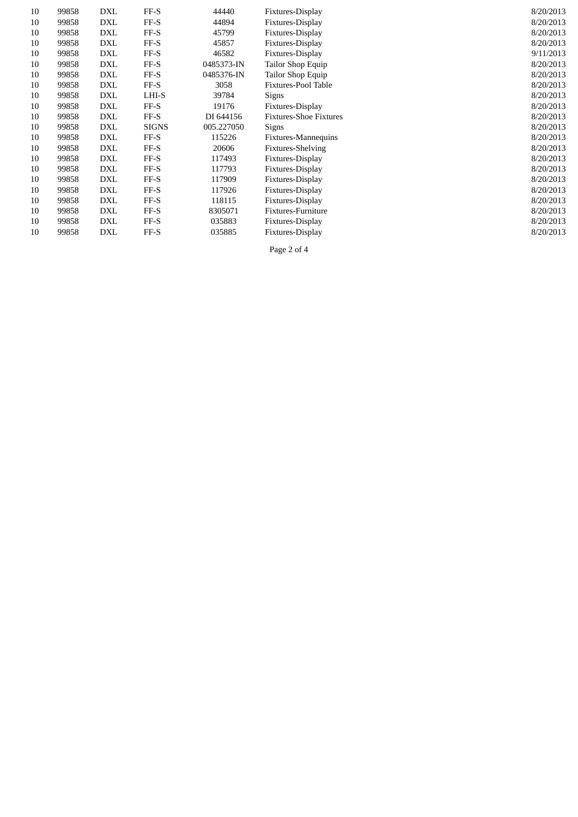| 10 | 99858 | DXL        | $FF-S$       | 44440      | Fixtures-Display              | 8/20/2013 |
|----|-------|------------|--------------|------------|-------------------------------|-----------|
| 10 | 99858 | DXL        | $FF-S$       | 44894      | Fixtures-Display              | 8/20/2013 |
| 10 | 99858 | <b>DXL</b> | FF-S         | 45799      | Fixtures-Display              | 8/20/2013 |
| 10 | 99858 | <b>DXL</b> | FF-S         | 45857      | Fixtures-Display              | 8/20/2013 |
| 10 | 99858 | DXL        | $FF-S$       | 46582      | Fixtures-Display              | 9/11/2013 |
| 10 | 99858 | <b>DXL</b> | FF-S         | 0485373-IN | Tailor Shop Equip             | 8/20/2013 |
| 10 | 99858 | <b>DXL</b> | FF-S         | 0485376-IN | Tailor Shop Equip             | 8/20/2013 |
| 10 | 99858 | DXL        | FF-S         | 3058       | Fixtures-Pool Table           | 8/20/2013 |
| 10 | 99858 | DXL        | LHI-S        | 39784      | <b>Signs</b>                  | 8/20/2013 |
| 10 | 99858 | <b>DXL</b> | FF-S         | 19176      | Fixtures-Display              | 8/20/2013 |
| 10 | 99858 | DXL        | FF-S         | DI 644156  | <b>Fixtures-Shoe Fixtures</b> | 8/20/2013 |
| 10 | 99858 | DXL        | <b>SIGNS</b> | 005.227050 | <b>Signs</b>                  | 8/20/2013 |
| 10 | 99858 | <b>DXL</b> | $FF-S$       | 115226     | Fixtures-Mannequins           | 8/20/2013 |
| 10 | 99858 | DXL        | $FF-S$       | 20606      | <b>Fixtures-Shelving</b>      | 8/20/2013 |
| 10 | 99858 | DXL        | FF-S         | 117493     | Fixtures-Display              | 8/20/2013 |
| 10 | 99858 | <b>DXL</b> | $FF-S$       | 117793     | Fixtures-Display              | 8/20/2013 |
| 10 | 99858 | DXL        | FF-S         | 117909     | Fixtures-Display              | 8/20/2013 |
| 10 | 99858 | DXL        | FF-S         | 117926     | Fixtures-Display              | 8/20/2013 |
| 10 | 99858 | DXL        | $FF-S$       | 118115     | Fixtures-Display              | 8/20/2013 |
| 10 | 99858 | DXL        | FF-S         | 8305071    | Fixtures-Furniture            | 8/20/2013 |
| 10 | 99858 | <b>DXL</b> | $FF-S$       | 035883     | Fixtures-Display              | 8/20/2013 |
| 10 | 99858 | <b>DXL</b> | FF-S         | 035885     | Fixtures-Display              | 8/20/2013 |

Page 2 of 4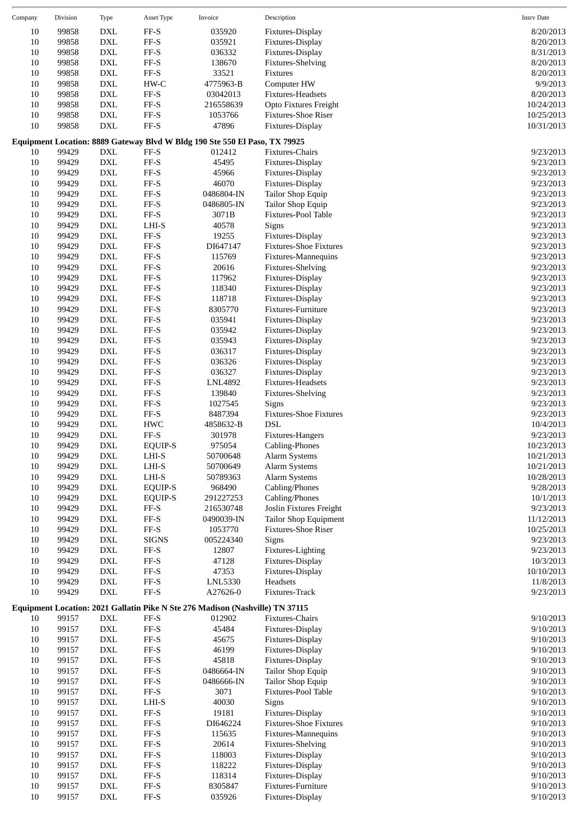| Company  | Division       | <b>Type</b>                                                | Asset Type                                        | Invoice                                                                              | Description                              | <b>Insrv Date</b>      |
|----------|----------------|------------------------------------------------------------|---------------------------------------------------|--------------------------------------------------------------------------------------|------------------------------------------|------------------------|
| 10       | 99858          | <b>DXL</b>                                                 | FF-S                                              | 035920                                                                               | Fixtures-Display                         | 8/20/2013              |
| $10\,$   | 99858          | <b>DXL</b>                                                 | $\rm FF\text{-}S$                                 | 035921                                                                               | Fixtures-Display                         | 8/20/2013              |
| 10       | 99858          | <b>DXL</b>                                                 | FF-S                                              | 036332                                                                               | Fixtures-Display                         | 8/31/2013              |
| 10       | 99858          | <b>DXL</b>                                                 | $\ensuremath{\mathsf{FF-S}}$                      | 138670                                                                               | <b>Fixtures-Shelving</b>                 | 8/20/2013              |
| 10       | 99858          | <b>DXL</b>                                                 | $\ensuremath{\mathsf{FF-S}}$                      | 33521                                                                                | Fixtures                                 | 8/20/2013              |
| 10       | 99858          | $\mathop{\rm DXL}\nolimits$                                | HW-C                                              | 4775963-B                                                                            | Computer HW                              | 9/9/2013               |
| 10       | 99858          | $\mathop{\rm DXL}\nolimits$                                | $\rm FF\text{-}S$                                 | 03042013                                                                             | Fixtures-Headsets                        | 8/20/2013              |
| $10\,$   | 99858          | <b>DXL</b>                                                 | $\ensuremath{\mathsf{FF-S}}$                      | 216558639                                                                            | Opto Fixtures Freight                    | 10/24/2013             |
| 10       | 99858          | $\mathop{\rm DXL}\nolimits$                                | $\ensuremath{\mathsf{FF-S}}$                      | 1053766                                                                              | Fixtures-Shoe Riser                      | 10/25/2013             |
| 10       | 99858          | <b>DXL</b>                                                 | $\ensuremath{\mathsf{FF-S}}$                      | 47896                                                                                | Fixtures-Display                         | 10/31/2013             |
| 10       | 99429          | $\mathop{\rm DXL}\nolimits$                                | FF-S                                              | Equipment Location: 8889 Gateway Blvd W Bldg 190 Ste 550 El Paso, TX 79925<br>012412 | Fixtures-Chairs                          | 9/23/2013              |
| 10       | 99429          | <b>DXL</b>                                                 | FF-S                                              | 45495                                                                                | Fixtures-Display                         | 9/23/2013              |
| 10       | 99429          | <b>DXL</b>                                                 | FF-S                                              | 45966                                                                                | Fixtures-Display                         | 9/23/2013              |
| 10       | 99429          | <b>DXL</b>                                                 | FF-S                                              | 46070                                                                                | Fixtures-Display                         | 9/23/2013              |
| 10       | 99429          | $\mathop{\rm DXL}\nolimits$                                | $\ensuremath{\mathsf{FF-S}}$                      | 0486804-IN                                                                           | Tailor Shop Equip                        | 9/23/2013              |
| 10       | 99429          | $\mathop{\rm DXL}\nolimits$                                | $\ensuremath{\mathsf{FF-S}}$                      | 0486805-IN                                                                           | Tailor Shop Equip                        | 9/23/2013              |
| 10       | 99429          | <b>DXL</b>                                                 | $\ensuremath{\mathsf{FF-S}}$                      | 3071B                                                                                | Fixtures-Pool Table                      | 9/23/2013              |
| 10       | 99429          | <b>DXL</b>                                                 | LHI-S                                             | 40578                                                                                | Signs                                    | 9/23/2013              |
| 10       | 99429          | <b>DXL</b>                                                 | FF-S                                              | 19255                                                                                | Fixtures-Display                         | 9/23/2013              |
| 10       | 99429          | <b>DXL</b>                                                 | $\ensuremath{\mathsf{FF-S}}$                      | DI647147                                                                             | <b>Fixtures-Shoe Fixtures</b>            | 9/23/2013              |
| 10       | 99429          | $\mathop{\rm DXL}\nolimits$                                | $\rm FF\text{-}S$                                 | 115769                                                                               | Fixtures-Mannequins                      | 9/23/2013              |
| 10       | 99429          | $\mathop{\rm DXL}\nolimits$                                | $\ensuremath{\mathsf{FF-S}}$                      | 20616                                                                                | <b>Fixtures-Shelving</b>                 | 9/23/2013              |
| 10       | 99429          | <b>DXL</b>                                                 | FF-S                                              | 117962                                                                               | Fixtures-Display                         | 9/23/2013              |
| 10       | 99429          | <b>DXL</b>                                                 | FF-S                                              | 118340                                                                               | Fixtures-Display                         | 9/23/2013              |
| 10       | 99429          | $\mathop{\rm DXL}\nolimits$                                | FF-S                                              | 118718                                                                               | Fixtures-Display                         | 9/23/2013              |
| 10       | 99429          | $\mathop{\rm DXL}\nolimits$                                | $\ensuremath{\mathsf{FF-S}}$                      | 8305770                                                                              | Fixtures-Furniture                       | 9/23/2013              |
| 10       | 99429          | <b>DXL</b>                                                 | FF-S                                              | 035941                                                                               | Fixtures-Display                         | 9/23/2013              |
| 10       | 99429          | <b>DXL</b>                                                 | FF-S                                              | 035942                                                                               | Fixtures-Display                         | 9/23/2013              |
| 10       | 99429          | <b>DXL</b>                                                 | FF-S                                              | 035943                                                                               | Fixtures-Display                         | 9/23/2013              |
| 10       | 99429          | <b>DXL</b>                                                 | $\ensuremath{\mathsf{FF-S}}$                      | 036317                                                                               | Fixtures-Display                         | 9/23/2013              |
| 10       | 99429          | $\mathop{\rm DXL}\nolimits$                                | $\rm FF\text{-}S$                                 | 036326                                                                               | Fixtures-Display                         | 9/23/2013              |
| 10       | 99429          | $\mathop{\rm DXL}\nolimits$                                | $\ensuremath{\mathsf{FF-S}}$                      | 036327                                                                               | Fixtures-Display                         | 9/23/2013              |
| 10       | 99429          | <b>DXL</b>                                                 | FF-S                                              | LNL4892                                                                              | Fixtures-Headsets                        | 9/23/2013              |
| 10       | 99429          | <b>DXL</b>                                                 | FF-S                                              | 139840                                                                               | Fixtures-Shelving                        | 9/23/2013              |
| 10       | 99429          | $\mathop{\rm DXL}\nolimits$                                | $\ensuremath{\mathsf{FF-S}}$                      | 1027545                                                                              | Signs                                    | 9/23/2013              |
| 10       | 99429          | $\mathop{\rm DXL}\nolimits$                                | $\rm FF\text{-}S$                                 | 8487394                                                                              | <b>Fixtures-Shoe Fixtures</b>            | 9/23/2013              |
| 10       | 99429          | <b>DXL</b>                                                 | <b>HWC</b>                                        | 4858632-B                                                                            | <b>DSL</b>                               | 10/4/2013              |
| 10       | 99429          | <b>DXL</b>                                                 | FF-S                                              | 301978                                                                               | Fixtures-Hangers                         | 9/23/2013              |
| $10\,$   | 99429          | $\mathop{\rm DXL}\nolimits$                                | EQUIP-S                                           | 975054                                                                               | Cabling-Phones                           | 10/23/2013             |
| 10       | 99429          | $\mathop{\rm DXL}\nolimits$                                | LHI-S                                             | 50700648                                                                             | <b>Alarm Systems</b>                     | 10/21/2013             |
| 10       | 99429          | $\mathop{\rm DXL}\nolimits$                                | $LHI-S$                                           | 50700649                                                                             | Alarm Systems                            | 10/21/2013             |
| 10       | 99429          | <b>DXL</b>                                                 | LHI-S                                             | 50789363                                                                             | Alarm Systems                            | 10/28/2013             |
| 10       | 99429          | <b>DXL</b>                                                 | <b>EQUIP-S</b>                                    | 968490                                                                               | Cabling/Phones                           | 9/28/2013              |
| 10       | 99429          | <b>DXL</b>                                                 | EQUIP-S                                           | 291227253                                                                            | Cabling/Phones                           | 10/1/2013              |
| 10       | 99429          | $\mathop{\rm DXL}\nolimits$                                | FF-S                                              | 216530748                                                                            | Joslin Fixtures Freight                  | 9/23/2013              |
| 10       | 99429          | $\mathop{\rm DXL}\nolimits$                                | $\rm FF\text{-}S$                                 | 0490039-IN                                                                           | Tailor Shop Equipment                    | 11/12/2013             |
| 10       | 99429          | $\mathop{\rm DXL}\nolimits$                                | $\rm FF\text{-}S$                                 | 1053770                                                                              | Fixtures-Shoe Riser                      | 10/25/2013             |
| 10       | 99429          | $\mathop{\rm DXL}\nolimits$                                | <b>SIGNS</b>                                      | 005224340                                                                            | Signs                                    | 9/23/2013              |
| 10       | 99429          | $\mathop{\rm DXL}\nolimits$                                | FF-S                                              | 12807                                                                                | Fixtures-Lighting                        | 9/23/2013              |
| 10       | 99429          | $\mathop{\rm DXL}\nolimits$                                | $\ensuremath{\mathsf{FF-S}}$                      | 47128                                                                                | Fixtures-Display                         | 10/3/2013              |
| 10       | 99429          | $\mathop{\rm DXL}\nolimits$                                | $\rm FF\text{-}S$                                 | 47353                                                                                | Fixtures-Display                         | 10/10/2013             |
| $10\,$   | 99429          | $\mathop{\rm DXL}\nolimits$                                | $\ensuremath{\mathsf{FF-S}}$                      | LNL5330                                                                              | Headsets                                 | 11/8/2013              |
| 10       | 99429          | <b>DXL</b>                                                 | FF-S                                              | A27626-0                                                                             | Fixtures-Track                           | 9/23/2013              |
|          |                |                                                            |                                                   | Equipment Location: 2021 Gallatin Pike N Ste 276 Madison (Nashville) TN 37115        |                                          |                        |
| 10       | 99157          | <b>DXL</b>                                                 | FF-S                                              | 012902                                                                               | Fixtures-Chairs                          | 9/10/2013              |
| 10<br>10 | 99157          | $\mathop{\rm DXL}\nolimits$                                | FF-S<br>$\ensuremath{\mathsf{FF-S}}$              | 45484                                                                                | Fixtures-Display                         | 9/10/2013              |
|          | 99157          | <b>DXL</b>                                                 |                                                   | 45675<br>46199                                                                       | Fixtures-Display                         | 9/10/2013              |
| 10       | 99157          | $\mathop{\rm DXL}\nolimits$<br>$\mathop{\rm DXL}\nolimits$ | $\rm FF\text{-}S$                                 | 45818                                                                                | Fixtures-Display                         | 9/10/2013              |
| 10       | 99157          |                                                            | FF-S<br>$\ensuremath{\mathsf{FF-S}}$              |                                                                                      | Fixtures-Display                         | 9/10/2013              |
| 10<br>10 | 99157<br>99157 | $\mathop{\rm DXL}\nolimits$<br>$\mathop{\rm DXL}\nolimits$ | $\rm FF\text{-}S$                                 | 0486664-IN<br>0486666-IN                                                             | Tailor Shop Equip                        | 9/10/2013<br>9/10/2013 |
| 10       | 99157          | $\mathop{\rm DXL}\nolimits$                                | $\rm FF\text{-}S$                                 | 3071                                                                                 | Tailor Shop Equip<br>Fixtures-Pool Table | 9/10/2013              |
|          |                | $\mathop{\rm DXL}\nolimits$                                | LHI-S                                             | 40030                                                                                |                                          |                        |
| 10       | 99157          | <b>DXL</b>                                                 | $\ensuremath{\mathsf{FF-S}}$                      |                                                                                      | Signs                                    | 9/10/2013<br>9/10/2013 |
| 10       | 99157          |                                                            |                                                   | 19181                                                                                | Fixtures-Display                         |                        |
| 10       | 99157          | $\mathop{\rm DXL}\nolimits$                                | $\ensuremath{\mathsf{FF-S}}$                      | DI646224                                                                             | <b>Fixtures-Shoe Fixtures</b>            | 9/10/2013              |
| 10       | 99157          | $\mathop{\rm DXL}\nolimits$                                | $\rm FF\text{-}S$                                 | 115635                                                                               | Fixtures-Mannequins                      | 9/10/2013              |
| 10       | 99157          | <b>DXL</b>                                                 | $\ensuremath{\mathsf{FF-S}}$                      | 20614                                                                                | <b>Fixtures-Shelving</b>                 | 9/10/2013              |
| 10       | 99157          | $\mathop{\rm DXL}\nolimits$                                | $\rm FF\text{-}S$                                 | 118003                                                                               | Fixtures-Display                         | 9/10/2013              |
| 10       | 99157          | <b>DXL</b>                                                 | FF-S                                              | 118222                                                                               | Fixtures-Display                         | 9/10/2013              |
| 10       | 99157          | $\mathop{\rm DXL}\nolimits$                                | $\ensuremath{\mathsf{FF-S}}$                      | 118314                                                                               | Fixtures-Display                         | 9/10/2013              |
| 10<br>10 | 99157          | $\mathop{\rm DXL}\nolimits$                                | $\rm FF\text{-}S$<br>$\ensuremath{\mathsf{FF-S}}$ | 8305847                                                                              | Fixtures-Furniture                       | 9/10/2013              |
|          | 99157          | <b>DXL</b>                                                 |                                                   | 035926                                                                               | Fixtures-Display                         | 9/10/2013              |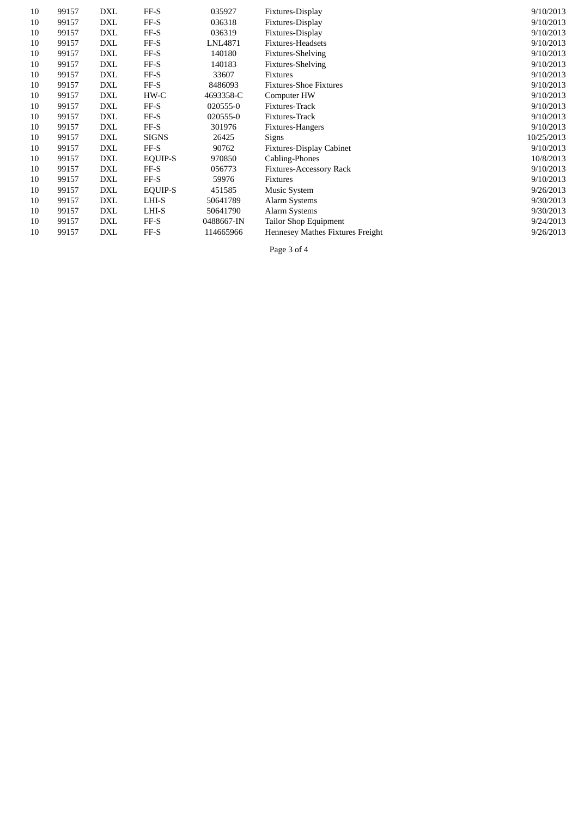| 10 | 99157 | DXL        | FF-S         | 035927     | Fixtures-Display                 | 9/10/2013  |
|----|-------|------------|--------------|------------|----------------------------------|------------|
| 10 | 99157 | DXL        | FF-S         | 036318     | Fixtures-Display                 | 9/10/2013  |
| 10 | 99157 | DXL        | FF-S         | 036319     | Fixtures-Display                 | 9/10/2013  |
| 10 | 99157 | DXL        | FF-S         | LNL4871    | Fixtures-Headsets                | 9/10/2013  |
| 10 | 99157 | DXL        | FF-S         | 140180     | <b>Fixtures-Shelving</b>         | 9/10/2013  |
| 10 | 99157 | <b>DXL</b> | FF-S         | 140183     | Fixtures-Shelving                | 9/10/2013  |
| 10 | 99157 | DXL        | FF-S         | 33607      | Fixtures                         | 9/10/2013  |
| 10 | 99157 | DXL        | FF-S         | 8486093    | <b>Fixtures-Shoe Fixtures</b>    | 9/10/2013  |
| 10 | 99157 | DXL        | HW-C         | 4693358-C  | Computer HW                      | 9/10/2013  |
| 10 | 99157 | DXL        | FF-S         | 020555-0   | Fixtures-Track                   | 9/10/2013  |
| 10 | 99157 | DXL        | FF-S         | 020555-0   | Fixtures-Track                   | 9/10/2013  |
| 10 | 99157 | DXL        | FF-S         | 301976     | Fixtures-Hangers                 | 9/10/2013  |
| 10 | 99157 | DXL        | <b>SIGNS</b> | 26425      | Signs                            | 10/25/2013 |
| 10 | 99157 | DXL        | $FF-S$       | 90762      | <b>Fixtures-Display Cabinet</b>  | 9/10/2013  |
| 10 | 99157 | DXL        | EQUIP-S      | 970850     | Cabling-Phones                   | 10/8/2013  |
| 10 | 99157 | DXL        | FF-S         | 056773     | <b>Fixtures-Accessory Rack</b>   | 9/10/2013  |
| 10 | 99157 | DXL        | FF-S         | 59976      | Fixtures                         | 9/10/2013  |
| 10 | 99157 | DXL        | EQUIP-S      | 451585     | Music System                     | 9/26/2013  |
| 10 | 99157 | DXL        | LHI-S        | 50641789   | Alarm Systems                    | 9/30/2013  |
| 10 | 99157 | DXL        | LHI-S        | 50641790   | Alarm Systems                    | 9/30/2013  |
| 10 | 99157 | DXL        | FF-S         | 0488667-IN | <b>Tailor Shop Equipment</b>     | 9/24/2013  |
| 10 | 99157 | <b>DXL</b> | FF-S         | 114665966  | Hennesey Mathes Fixtures Freight | 9/26/2013  |
|    |       |            |              |            |                                  |            |

Page 3 of 4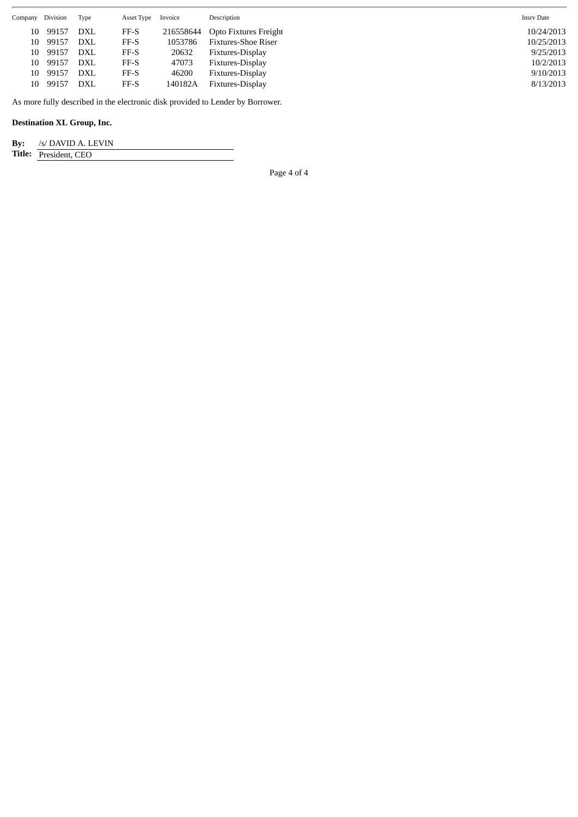| Company | Division                                                                       | Type       | Asset Type | Invoice   | Description                | <b>Insrv Date</b> |  |  |
|---------|--------------------------------------------------------------------------------|------------|------------|-----------|----------------------------|-------------------|--|--|
| 10      | 99157                                                                          | DXL        | FF-S       | 216558644 | Opto Fixtures Freight      | 10/24/2013        |  |  |
| 10      | 99157                                                                          | <b>DXL</b> | FF-S       | 1053786   | <b>Fixtures-Shoe Riser</b> | 10/25/2013        |  |  |
| 10      | 99157                                                                          | <b>DXL</b> | FF-S       | 20632     | Fixtures-Display           | 9/25/2013         |  |  |
| 10      | 99157                                                                          | DXL        | FF-S       | 47073     | Fixtures-Display           | 10/2/2013         |  |  |
| 10      | 99157                                                                          | DXL        | FF-S       | 46200     | Fixtures-Display           | 9/10/2013         |  |  |
| 10      | 99157                                                                          | <b>DXL</b> | FF-S       | 140182A   | Fixtures-Display           | 8/13/2013         |  |  |
|         | As more fully described in the electronic disk provided to Lender by Borrower. |            |            |           |                            |                   |  |  |

**Destination XL Group, Inc.**

| By: | /s/ DAVID A. LEVIN |
|-----|--------------------|

**Title:** President, CEO

Page 4 of 4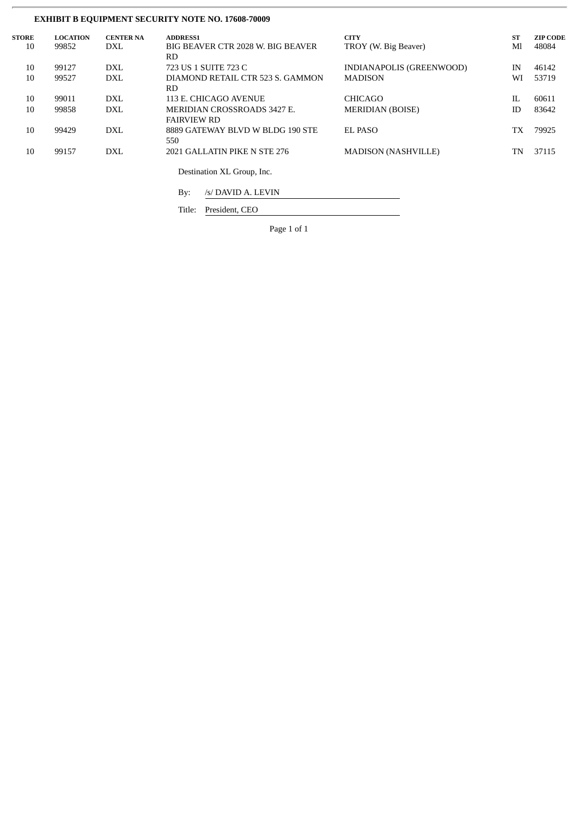# **EXHIBIT B EQUIPMENT SECURITY NOTE NO. 17608-70009**

| <b>STORE</b> | <b>LOCATION</b> | <b>CENTER NA</b> | <b>ADDRESS1</b>                   | <b>CITY</b>                | <b>ST</b> | <b>ZIP CODE</b> |
|--------------|-----------------|------------------|-----------------------------------|----------------------------|-----------|-----------------|
| 10           | 99852           | <b>DXL</b>       | BIG BEAVER CTR 2028 W. BIG BEAVER | TROY (W. Big Beaver)       | Ml        | 48084           |
|              |                 |                  | RD.                               |                            |           |                 |
| 10           | 99127           | <b>DXL</b>       | 723 US 1 SUITE 723 C              | INDIANAPOLIS (GREENWOOD)   | IN        | 46142           |
| 10           | 99527           | <b>DXL</b>       | DIAMOND RETAIL CTR 523 S. GAMMON  | <b>MADISON</b>             | WI        | 53719           |
|              |                 |                  | RD.                               |                            |           |                 |
| 10           | 99011           | <b>DXL</b>       | 113 E. CHICAGO AVENUE             | <b>CHICAGO</b>             | IL        | 60611           |
| 10           | 99858           | <b>DXL</b>       | MERIDIAN CROSSROADS 3427 E.       | <b>MERIDIAN (BOISE)</b>    | ID        | 83642           |
|              |                 |                  | <b>FAIRVIEW RD</b>                |                            |           |                 |
| 10           | 99429           | DXL              | 8889 GATEWAY BLVD W BLDG 190 STE  | EL PASO                    | TХ        | 79925           |
|              |                 |                  | 550                               |                            |           |                 |
| 10           | 99157           | <b>DXL</b>       | 2021 GALLATIN PIKE N STE 276      | <b>MADISON (NASHVILLE)</b> | TN        | 37115           |
|              |                 |                  |                                   |                            |           |                 |
|              |                 |                  | Destination XL Group, Inc.        |                            |           |                 |
|              |                 |                  |                                   |                            |           |                 |

By: /s/ DAVID A. LEVIN

Title: President, CEO

Page 1 of 1